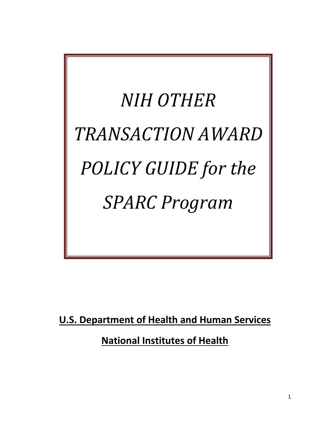*NIH OTHER TRANSACTION AWARD POLICY GUIDE for the SPARC Program*

**U.S. Department of Health and Human Services**

**National Institutes of Health**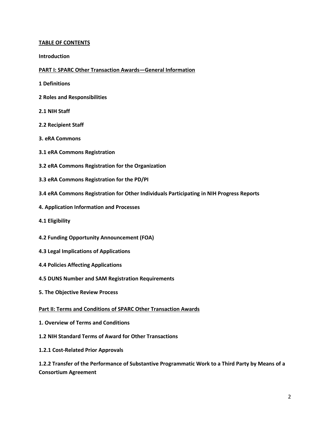#### **TABLE OF CONTENTS**

**Introduction**

#### **PART I: SPARC Other Transaction Awards—General Information**

- **1 Definitions**
- **2 Roles and Responsibilities**
- **2.1 NIH Staff**
- **2.2 Recipient Staff**
- **3. eRA Commons**
- **3.1 eRA Commons Registration**
- **3.2 eRA Commons Registration for the Organization**
- **3.3 eRA Commons Registration for the PD/PI**
- **3.4 eRA Commons Registration for Other Individuals Participating in NIH Progress Reports**
- **4. Application Information and Processes**
- **4.1 Eligibility**
- **4.2 Funding Opportunity Announcement (FOA)**
- **4.3 Legal Implications of Applications**
- **4.4 Policies Affecting Applications**
- **4.5 DUNS Number and SAM Registration Requirements**
- **5. The Objective Review Process**
- **Part II: Terms and Conditions of SPARC Other Transaction Awards**
- **1. Overview of Terms and Conditions**
- **1.2 NIH Standard Terms of Award for Other Transactions**
- **1.2.1 Cost-Related Prior Approvals**

**1.2.2 Transfer of the Performance of Substantive Programmatic Work to a Third Party by Means of a Consortium Agreement**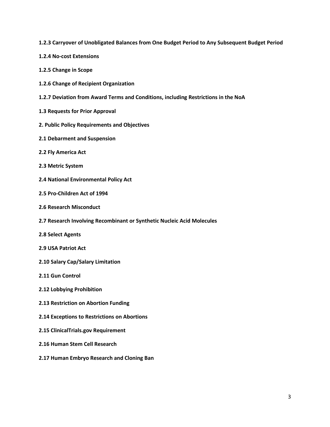- **1.2.3 Carryover of Unobligated Balances from One Budget Period to Any Subsequent Budget Period**
- **1.2.4 No-cost Extensions**
- **1.2.5 Change in Scope**
- **1.2.6 Change of Recipient Organization**
- **1.2.7 Deviation from Award Terms and Conditions, including Restrictions in the NoA**
- **1.3 Requests for Prior Approval**
- **2. Public Policy Requirements and Objectives**
- **2.1 Debarment and Suspension**
- **2.2 Fly America Act**
- **2.3 Metric System**
- **2.4 National Environmental Policy Act**
- **2.5 Pro-Children Act of 1994**
- **2.6 Research Misconduct**
- **2.7 Research Involving Recombinant or Synthetic Nucleic Acid Molecules**
- **2.8 Select Agents**
- **2.9 USA Patriot Act**
- **2.10 Salary Cap/Salary Limitation**
- **2.11 Gun Control**
- **2.12 Lobbying Prohibition**
- **2.13 Restriction on Abortion Funding**
- **2.14 Exceptions to Restrictions on Abortions**
- **2.15 ClinicalTrials.gov Requirement**
- **2.16 Human Stem Cell Research**
- **2.17 Human Embryo Research and Cloning Ban**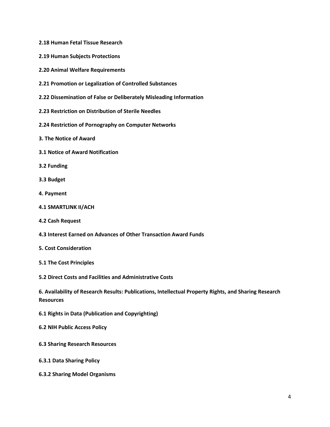- **2.18 Human Fetal Tissue Research**
- **2.19 Human Subjects Protections**
- **2.20 Animal Welfare Requirements**
- **2.21 Promotion or Legalization of Controlled Substances**
- **2.22 Dissemination of False or Deliberately Misleading Information**
- **2.23 Restriction on Distribution of Sterile Needles**
- **2.24 Restriction of Pornography on Computer Networks**
- **3. The Notice of Award**
- **3.1 Notice of Award Notification**
- **3.2 Funding**
- **3.3 Budget**
- **4. Payment**
- **4.1 SMARTLINK II/ACH**
- **4.2 Cash Request**
- **4.3 Interest Earned on Advances of Other Transaction Award Funds**
- **5. Cost Consideration**
- **5.1 The Cost Principles**
- **5.2 Direct Costs and Facilities and Administrative Costs**

**6. Availability of Research Results: Publications, Intellectual Property Rights, and Sharing Research Resources**

- **6.1 Rights in Data (Publication and Copyrighting)**
- **6.2 NIH Public Access Policy**
- **6.3 Sharing Research Resources**
- **6.3.1 Data Sharing Policy**
- **6.3.2 Sharing Model Organisms**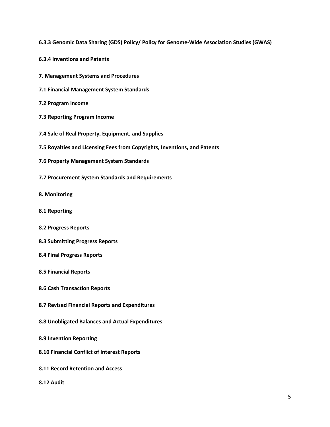- **6.3.3 Genomic Data Sharing (GDS) Policy/ Policy for Genome-Wide Association Studies (GWAS)**
- **6.3.4 Inventions and Patents**
- **7. Management Systems and Procedures**
- **7.1 Financial Management System Standards**
- **7.2 Program Income**
- **7.3 Reporting Program Income**
- **7.4 Sale of Real Property, Equipment, and Supplies**
- **7.5 Royalties and Licensing Fees from Copyrights, Inventions, and Patents**
- **7.6 Property Management System Standards**
- **7.7 Procurement System Standards and Requirements**
- **8. Monitoring**
- **8.1 Reporting**
- **8.2 Progress Reports**
- **8.3 Submitting Progress Reports**
- **8.4 Final Progress Reports**
- **8.5 Financial Reports**
- **8.6 Cash Transaction Reports**
- **8.7 Revised Financial Reports and Expenditures**
- **8.8 Unobligated Balances and Actual Expenditures**
- **8.9 Invention Reporting**
- **8.10 Financial Conflict of Interest Reports**
- **8.11 Record Retention and Access**
- **8.12 Audit**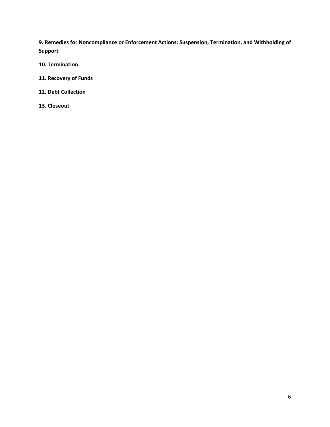**9. Remedies for Noncompliance or Enforcement Actions: Suspension, Termination, and Withholding of Support**

- **10. Termination**
- **11. Recovery of Funds**
- **12. Debt Collection**
- **13. Closeout**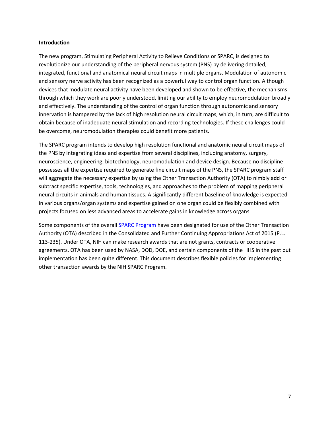#### **Introduction**

The new program, Stimulating Peripheral Activity to Relieve Conditions or SPARC, is designed to revolutionize our understanding of the peripheral nervous system (PNS) by delivering detailed, integrated, functional and anatomical neural circuit maps in multiple organs. Modulation of autonomic and sensory nerve activity has been recognized as a powerful way to control organ function. Although devices that modulate neural activity have been developed and shown to be effective, the mechanisms through which they work are poorly understood, limiting our ability to employ neuromodulation broadly and effectively. The understanding of the control of organ function through autonomic and sensory innervation is hampered by the lack of high resolution neural circuit maps, which, in turn, are difficult to obtain because of inadequate neural stimulation and recording technologies. If these challenges could be overcome, neuromodulation therapies could benefit more patients.

The SPARC program intends to develop high resolution functional and anatomic neural circuit maps of the PNS by integrating ideas and expertise from several disciplines, including anatomy, surgery, neuroscience, engineering, biotechnology, neuromodulation and device design. Because no discipline possesses all the expertise required to generate fine circuit maps of the PNS, the SPARC program staff will aggregate the necessary expertise by using the Other Transaction Authority (OTA) to nimbly add or subtract specific expertise, tools, technologies, and approaches to the problem of mapping peripheral neural circuits in animals and human tissues. A significantly different baseline of knowledge is expected in various organs/organ systems and expertise gained on one organ could be flexibly combined with projects focused on less advanced areas to accelerate gains in knowledge across organs.

Some components of the overall **SPARC Program** have been designated for use of the Other Transaction Authority (OTA) described in the Consolidated and Further Continuing Appropriations Act of 2015 (P.L. 113-235). Under OTA, NIH can make research awards that are not grants, contracts or cooperative agreements. OTA has been used by NASA, DOD, DOE, and certain components of the HHS in the past but implementation has been quite different. This document describes flexible policies for implementing other transaction awards by the NIH SPARC Program.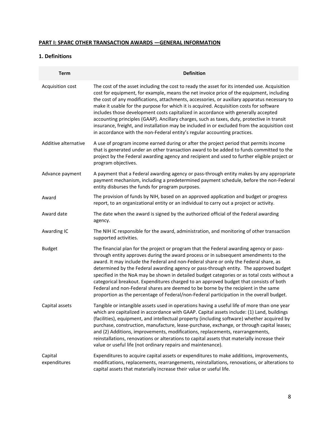#### **PART I: SPARC OTHER TRANSACTION AWARDS —GENERAL INFORMATION**

#### **1. Definitions**

| <b>Term</b>             | <b>Definition</b>                                                                                                                                                                                                                                                                                                                                                                                                                                                                                                                                                                                                                                                                                                                                       |
|-------------------------|---------------------------------------------------------------------------------------------------------------------------------------------------------------------------------------------------------------------------------------------------------------------------------------------------------------------------------------------------------------------------------------------------------------------------------------------------------------------------------------------------------------------------------------------------------------------------------------------------------------------------------------------------------------------------------------------------------------------------------------------------------|
| Acquisition cost        | The cost of the asset including the cost to ready the asset for its intended use. Acquisition<br>cost for equipment, for example, means the net invoice price of the equipment, including<br>the cost of any modifications, attachments, accessories, or auxiliary apparatus necessary to<br>make it usable for the purpose for which it is acquired. Acquisition costs for software<br>includes those development costs capitalized in accordance with generally accepted<br>accounting principles (GAAP). Ancillary charges, such as taxes, duty, protective in transit<br>insurance, freight, and installation may be included in or excluded from the acquisition cost<br>in accordance with the non-Federal entity's regular accounting practices. |
| Additive alternative    | A use of program income earned during or after the project period that permits income<br>that is generated under an other transaction award to be added to funds committed to the<br>project by the Federal awarding agency and recipient and used to further eligible project or<br>program objectives.                                                                                                                                                                                                                                                                                                                                                                                                                                                |
| Advance payment         | A payment that a Federal awarding agency or pass-through entity makes by any appropriate<br>payment mechanism, including a predetermined payment schedule, before the non-Federal<br>entity disburses the funds for program purposes.                                                                                                                                                                                                                                                                                                                                                                                                                                                                                                                   |
| Award                   | The provision of funds by NIH, based on an approved application and budget or progress<br>report, to an organizational entity or an individual to carry out a project or activity.                                                                                                                                                                                                                                                                                                                                                                                                                                                                                                                                                                      |
| Award date              | The date when the award is signed by the authorized official of the Federal awarding<br>agency.                                                                                                                                                                                                                                                                                                                                                                                                                                                                                                                                                                                                                                                         |
| Awarding IC             | The NIH IC responsible for the award, administration, and monitoring of other transaction<br>supported activities.                                                                                                                                                                                                                                                                                                                                                                                                                                                                                                                                                                                                                                      |
| <b>Budget</b>           | The financial plan for the project or program that the Federal awarding agency or pass-<br>through entity approves during the award process or in subsequent amendments to the<br>award. It may include the Federal and non-Federal share or only the Federal share, as<br>determined by the Federal awarding agency or pass-through entity. The approved budget<br>specified in the NoA may be shown in detailed budget categories or as total costs without a<br>categorical breakout. Expenditures charged to an approved budget that consists of both<br>Federal and non-Federal shares are deemed to be borne by the recipient in the same<br>proportion as the percentage of Federal/non-Federal participation in the overall budget.             |
| Capital assets          | Tangible or intangible assets used in operations having a useful life of more than one year<br>which are capitalized in accordance with GAAP. Capital assets include: (1) Land, buildings<br>(facilities), equipment, and intellectual property (including software) whether acquired by<br>purchase, construction, manufacture, lease-purchase, exchange, or through capital leases;<br>and (2) Additions, improvements, modifications, replacements, rearrangements,<br>reinstallations, renovations or alterations to capital assets that materially increase their<br>value or useful life (not ordinary repairs and maintenance).                                                                                                                  |
| Capital<br>expenditures | Expenditures to acquire capital assets or expenditures to make additions, improvements,<br>modifications, replacements, rearrangements, reinstallations, renovations, or alterations to<br>capital assets that materially increase their value or useful life.                                                                                                                                                                                                                                                                                                                                                                                                                                                                                          |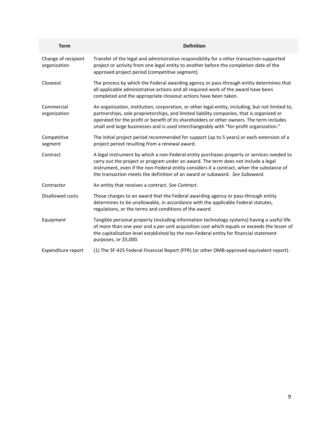| <b>Term</b>                         | <b>Definition</b>                                                                                                                                                                                                                                                                                                                                                                    |
|-------------------------------------|--------------------------------------------------------------------------------------------------------------------------------------------------------------------------------------------------------------------------------------------------------------------------------------------------------------------------------------------------------------------------------------|
| Change of recipient<br>organization | Transfer of the legal and administrative responsibility for a other transaction-supported<br>project or activity from one legal entity to another before the completion date of the<br>approved project period (competitive segment).                                                                                                                                                |
| Closeout                            | The process by which the Federal awarding agency or pass-through entity determines that<br>all applicable administrative actions and all required work of the award have been<br>completed and the appropriate closeout actions have been taken.                                                                                                                                     |
| Commercial<br>organization          | An organization, institution, corporation, or other legal entity, including, but not limited to,<br>partnerships, sole proprietorships, and limited liability companies, that is organized or<br>operated for the profit or benefit of its shareholders or other owners. The term includes<br>small and large businesses and is used interchangeably with "for-profit organization." |
| Competitive<br>segment              | The initial project period recommended for support (up to 5 years) or each extension of a<br>project period resulting from a renewal award.                                                                                                                                                                                                                                          |
| Contract                            | A legal instrument by which a non-Federal entity purchases property or services needed to<br>carry out the project or program under an award. The term does not include a legal<br>instrument, even if the non-Federal entity considers it a contract, when the substance of<br>the transaction meets the definition of an award or subaward. See Subaward.                          |
| Contractor                          | An entity that receives a contract. See Contract.                                                                                                                                                                                                                                                                                                                                    |
| Disallowed costs                    | Those charges to an award that the Federal awarding agency or pass-through entity<br>determines to be unallowable, in accordance with the applicable Federal statutes,<br>regulations, or the terms and conditions of the award.                                                                                                                                                     |
| Equipment                           | Tangible personal property (including information technology systems) having a useful life<br>of more than one year and a per-unit acquisition cost which equals or exceeds the lesser of<br>the capitalization level established by the non-Federal entity for financial statement<br>purposes, or \$5,000.                                                                         |
| Expenditure report                  | (1) The SF-425 Federal Financial Report (FFR) (or other OMB-approved equivalent report).                                                                                                                                                                                                                                                                                             |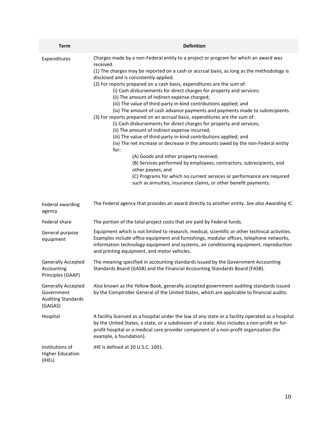| <b>Term</b>                                                                     | <b>Definition</b>                                                                                                                                                                                                                                                                                                                                                                                                                                                                                                                                                                                                                                                                                                                                                                                                                                                                                                                                                                                                                                                                                                                                                                                                                                         |
|---------------------------------------------------------------------------------|-----------------------------------------------------------------------------------------------------------------------------------------------------------------------------------------------------------------------------------------------------------------------------------------------------------------------------------------------------------------------------------------------------------------------------------------------------------------------------------------------------------------------------------------------------------------------------------------------------------------------------------------------------------------------------------------------------------------------------------------------------------------------------------------------------------------------------------------------------------------------------------------------------------------------------------------------------------------------------------------------------------------------------------------------------------------------------------------------------------------------------------------------------------------------------------------------------------------------------------------------------------|
| Expenditures                                                                    | Charges made by a non-Federal entity to a project or program for which an award was<br>received.<br>(1) The charges may be reported on a cash or accrual basis, as long as the methodology is<br>disclosed and is consistently applied.<br>(2) For reports prepared on a cash basis, expenditures are the sum of:<br>(i) Cash disbursements for direct charges for property and services;<br>(ii) The amount of indirect expense charged;<br>(iii) The value of third-party in-kind contributions applied; and<br>(iv) The amount of cash advance payments and payments made to subrecipients.<br>(3) For reports prepared on an accrual basis, expenditures are the sum of:<br>(i) Cash disbursements for direct charges for property and services;<br>(ii) The amount of indirect expense incurred;<br>(iii) The value of third-party in-kind contributions applied; and<br>(iv) The net increase or decrease in the amounts owed by the non-Federal entity<br>for:<br>(A) Goods and other property received;<br>(B) Services performed by employees, contractors, subrecipients, and<br>other payees; and<br>(C) Programs for which no current services or performance are required<br>such as annuities, insurance claims, or other benefit payments. |
| Federal awarding<br>agency                                                      | The Federal agency that provides an award directly to another entity. See also Awarding IC.                                                                                                                                                                                                                                                                                                                                                                                                                                                                                                                                                                                                                                                                                                                                                                                                                                                                                                                                                                                                                                                                                                                                                               |
| Federal share                                                                   | The portion of the total project costs that are paid by Federal funds.                                                                                                                                                                                                                                                                                                                                                                                                                                                                                                                                                                                                                                                                                                                                                                                                                                                                                                                                                                                                                                                                                                                                                                                    |
| General purpose<br>equipment                                                    | Equipment which is not limited to research, medical, scientific or other technical activities.<br>Examples include office equipment and furnishings, modular offices, telephone networks,<br>information technology equipment and systems, air conditioning equipment, reproduction<br>and printing equipment, and motor vehicles.                                                                                                                                                                                                                                                                                                                                                                                                                                                                                                                                                                                                                                                                                                                                                                                                                                                                                                                        |
| <b>Generally Accepted</b><br>Accounting<br>Principles (GAAP)                    | The meaning specified in accounting standards issued by the Government Accounting<br>Standards Board (GASB) and the Financial Accounting Standards Board (FASB).                                                                                                                                                                                                                                                                                                                                                                                                                                                                                                                                                                                                                                                                                                                                                                                                                                                                                                                                                                                                                                                                                          |
| <b>Generally Accepted</b><br>Government<br><b>Auditing Standards</b><br>(GAGAS) | Also known as the Yellow Book, generally accepted government auditing standards issued<br>by the Comptroller General of the United States, which are applicable to financial audits.                                                                                                                                                                                                                                                                                                                                                                                                                                                                                                                                                                                                                                                                                                                                                                                                                                                                                                                                                                                                                                                                      |
| Hospital                                                                        | A facility licensed as a hospital under the law of any state or a facility operated as a hospital<br>by the United States, a state, or a subdivision of a state. Also includes a non-profit or for-<br>profit hospital or a medical care provider component of a non-profit organization (for<br>example, a foundation).                                                                                                                                                                                                                                                                                                                                                                                                                                                                                                                                                                                                                                                                                                                                                                                                                                                                                                                                  |
| Institutions of<br><b>Higher Education</b><br>(IHEs)                            | IHE is defined at 20 U.S.C. 1001.                                                                                                                                                                                                                                                                                                                                                                                                                                                                                                                                                                                                                                                                                                                                                                                                                                                                                                                                                                                                                                                                                                                                                                                                                         |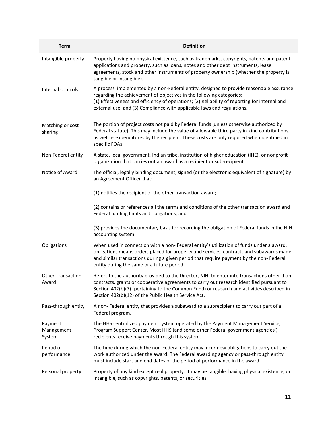| <b>Term</b>                       | <b>Definition</b>                                                                                                                                                                                                                                                                                                                             |
|-----------------------------------|-----------------------------------------------------------------------------------------------------------------------------------------------------------------------------------------------------------------------------------------------------------------------------------------------------------------------------------------------|
| Intangible property               | Property having no physical existence, such as trademarks, copyrights, patents and patent<br>applications and property, such as loans, notes and other debt instruments, lease<br>agreements, stock and other instruments of property ownership (whether the property is<br>tangible or intangible).                                          |
| Internal controls                 | A process, implemented by a non-Federal entity, designed to provide reasonable assurance<br>regarding the achievement of objectives in the following categories:<br>(1) Effectiveness and efficiency of operations; (2) Reliability of reporting for internal and<br>external use; and (3) Compliance with applicable laws and regulations.   |
| Matching or cost<br>sharing       | The portion of project costs not paid by Federal funds (unless otherwise authorized by<br>Federal statute). This may include the value of allowable third party in-kind contributions,<br>as well as expenditures by the recipient. These costs are only required when identified in<br>specific FOAs.                                        |
| Non-Federal entity                | A state, local government, Indian tribe, institution of higher education (IHE), or nonprofit<br>organization that carries out an award as a recipient or sub-recipient.                                                                                                                                                                       |
| Notice of Award                   | The official, legally binding document, signed (or the electronic equivalent of signature) by<br>an Agreement Officer that:                                                                                                                                                                                                                   |
|                                   | (1) notifies the recipient of the other transaction award;                                                                                                                                                                                                                                                                                    |
|                                   | (2) contains or references all the terms and conditions of the other transaction award and<br>Federal funding limits and obligations; and,                                                                                                                                                                                                    |
|                                   | (3) provides the documentary basis for recording the obligation of Federal funds in the NIH<br>accounting system.                                                                                                                                                                                                                             |
| Obligations                       | When used in connection with a non- Federal entity's utilization of funds under a award,<br>obligations means orders placed for property and services, contracts and subawards made,<br>and similar transactions during a given period that require payment by the non- Federal<br>entity during the same or a future period.                 |
| <b>Other Transaction</b><br>Award | Refers to the authority provided to the Director, NIH, to enter into transactions other than<br>contracts, grants or cooperative agreements to carry out research identified pursuant to<br>Section 402(b)(7) (pertaining to the Common Fund) or research and activities described in<br>Section 402(b)(12) of the Public Health Service Act. |
| Pass-through entity               | A non-Federal entity that provides a subaward to a subrecipient to carry out part of a<br>Federal program.                                                                                                                                                                                                                                    |
| Payment<br>Management<br>System   | The HHS centralized payment system operated by the Payment Management Service,<br>Program Support Center. Most HHS (and some other Federal government agencies')<br>recipients receive payments through this system.                                                                                                                          |
| Period of<br>performance          | The time during which the non-Federal entity may incur new obligations to carry out the<br>work authorized under the award. The Federal awarding agency or pass-through entity<br>must include start and end dates of the period of performance in the award.                                                                                 |
| Personal property                 | Property of any kind except real property. It may be tangible, having physical existence, or<br>intangible, such as copyrights, patents, or securities.                                                                                                                                                                                       |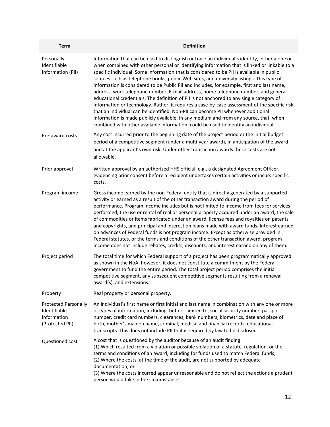| <b>Term</b>                                                                   | <b>Definition</b>                                                                                                                                                                                                                                                                                                                                                                                                                                                                                                                                                                                                                                                                                                                                                                                                                                                                                                                                                                                                                            |
|-------------------------------------------------------------------------------|----------------------------------------------------------------------------------------------------------------------------------------------------------------------------------------------------------------------------------------------------------------------------------------------------------------------------------------------------------------------------------------------------------------------------------------------------------------------------------------------------------------------------------------------------------------------------------------------------------------------------------------------------------------------------------------------------------------------------------------------------------------------------------------------------------------------------------------------------------------------------------------------------------------------------------------------------------------------------------------------------------------------------------------------|
| Personally<br>Identifiable<br>Information (PII)                               | Information that can be used to distinguish or trace an individual's identity, either alone or<br>when combined with other personal or identifying information that is linked or linkable to a<br>specific individual. Some information that is considered to be PII is available in public<br>sources such as telephone books, public Web sites, and university listings. This type of<br>information is considered to be Public PII and includes, for example, first and last name,<br>address, work telephone number, E-mail address, home telephone number, and general<br>educational credentials. The definition of PII is not anchored to any single category of<br>information or technology. Rather, it requires a case-by-case assessment of the specific risk<br>that an individual can be identified. Non-PII can become PII whenever additional<br>information is made publicly available, in any medium and from any source, that, when<br>combined with other available information, could be used to identify an individual. |
| Pre-award costs                                                               | Any cost incurred prior to the beginning date of the project period or the initial budget<br>period of a competitive segment (under a multi-year award), in anticipation of the award<br>and at the applicant's own risk. Under other transaction awards these costs are not<br>allowable.                                                                                                                                                                                                                                                                                                                                                                                                                                                                                                                                                                                                                                                                                                                                                   |
| Prior approval                                                                | Written approval by an authorized HHS official, e.g., a designated Agreement Officer,<br>evidencing prior consent before a recipient undertakes certain activities or incurs specific<br>costs.                                                                                                                                                                                                                                                                                                                                                                                                                                                                                                                                                                                                                                                                                                                                                                                                                                              |
| Program income                                                                | Gross income earned by the non-Federal entity that is directly generated by a supported<br>activity or earned as a result of the other transaction award during the period of<br>performance. Program income includes but is not limited to income from fees for services<br>performed, the use or rental of real or personal property acquired under an award, the sale<br>of commodities or items fabricated under an award, license fees and royalties on patents<br>and copyrights, and principal and interest on loans made with award funds. Interest earned<br>on advances of Federal funds is not program income. Except as otherwise provided in<br>Federal statutes, or the terms and conditions of the other transaction award, program<br>income does not include rebates, credits, discounts, and interest earned on any of them.                                                                                                                                                                                               |
| Project period                                                                | The total time for which Federal support of a project has been programmatically approved<br>as shown in the NoA; however, it does not constitute a commitment by the Federal<br>government to fund the entire period. The total project period comprises the initial<br>competitive segment, any subsequent competitive segments resulting from a renewal<br>award(s), and extensions.                                                                                                                                                                                                                                                                                                                                                                                                                                                                                                                                                                                                                                                       |
| Property                                                                      | Real property or personal property.                                                                                                                                                                                                                                                                                                                                                                                                                                                                                                                                                                                                                                                                                                                                                                                                                                                                                                                                                                                                          |
| <b>Protected Personally</b><br>Identifiable<br>Information<br>(Protected PII) | An individual's first name or first initial and last name in combination with any one or more<br>of types of information, including, but not limited to, social security number, passport<br>number, credit card numbers, clearances, bank numbers, biometrics, date and place of<br>birth, mother's maiden name, criminal, medical and financial records, educational<br>transcripts. This does not include PII that is required by law to be disclosed.                                                                                                                                                                                                                                                                                                                                                                                                                                                                                                                                                                                    |
| Questioned cost                                                               | A cost that is questioned by the auditor because of an audit finding:<br>(1) Which resulted from a violation or possible violation of a statute, regulation, or the<br>terms and conditions of an award, including for funds used to match Federal funds;<br>(2) Where the costs, at the time of the audit, are not supported by adequate<br>documentation; or<br>(3) Where the costs incurred appear unreasonable and do not reflect the actions a prudent<br>person would take in the circumstances.                                                                                                                                                                                                                                                                                                                                                                                                                                                                                                                                       |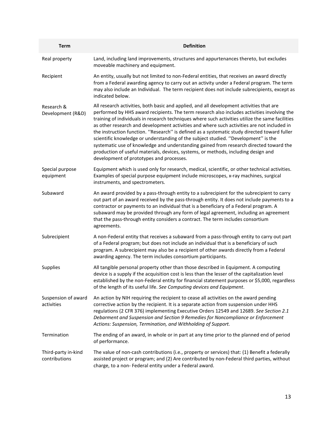| <b>Term</b>                          | <b>Definition</b>                                                                                                                                                                                                                                                                                                                                                                                                                                                                                                                                                                                                                                                                                                                                                                                           |
|--------------------------------------|-------------------------------------------------------------------------------------------------------------------------------------------------------------------------------------------------------------------------------------------------------------------------------------------------------------------------------------------------------------------------------------------------------------------------------------------------------------------------------------------------------------------------------------------------------------------------------------------------------------------------------------------------------------------------------------------------------------------------------------------------------------------------------------------------------------|
| Real property                        | Land, including land improvements, structures and appurtenances thereto, but excludes<br>moveable machinery and equipment.                                                                                                                                                                                                                                                                                                                                                                                                                                                                                                                                                                                                                                                                                  |
| Recipient                            | An entity, usually but not limited to non-Federal entities, that receives an award directly<br>from a Federal awarding agency to carry out an activity under a Federal program. The term<br>may also include an Individual. The term recipient does not include subrecipients, except as<br>indicated below.                                                                                                                                                                                                                                                                                                                                                                                                                                                                                                |
| Research &<br>Development (R&D)      | All research activities, both basic and applied, and all development activities that are<br>performed by HHS award recipients. The term research also includes activities involving the<br>training of individuals in research techniques where such activities utilize the same facilities<br>as other research and development activities and where such activities are not included in<br>the instruction function. "Research" is defined as a systematic study directed toward fuller<br>scientific knowledge or understanding of the subject studied. "Development" is the<br>systematic use of knowledge and understanding gained from research directed toward the<br>production of useful materials, devices, systems, or methods, including design and<br>development of prototypes and processes. |
| Special purpose<br>equipment         | Equipment which is used only for research, medical, scientific, or other technical activities.<br>Examples of special purpose equipment include microscopes, x-ray machines, surgical<br>instruments, and spectrometers.                                                                                                                                                                                                                                                                                                                                                                                                                                                                                                                                                                                    |
| Subaward                             | An award provided by a pass-through entity to a subrecipient for the subrecipient to carry<br>out part of an award received by the pass-through entity. It does not include payments to a<br>contractor or payments to an individual that is a beneficiary of a Federal program. A<br>subaward may be provided through any form of legal agreement, including an agreement<br>that the pass-through entity considers a contract. The term includes consortium<br>agreements.                                                                                                                                                                                                                                                                                                                                |
| Subrecipient                         | A non-Federal entity that receives a subaward from a pass-through entity to carry out part<br>of a Federal program; but does not include an individual that is a beneficiary of such<br>program. A subrecipient may also be a recipient of other awards directly from a Federal<br>awarding agency. The term includes consortium participants.                                                                                                                                                                                                                                                                                                                                                                                                                                                              |
| <b>Supplies</b>                      | All tangible personal property other than those described in Equipment. A computing<br>device is a supply if the acquisition cost is less than the lesser of the capitalization level<br>established by the non-Federal entity for financial statement purposes or \$5,000, regardless<br>of the length of its useful life. See Computing devices and Equipment.                                                                                                                                                                                                                                                                                                                                                                                                                                            |
| Suspension of award<br>activities    | An action by NIH requiring the recipient to cease all activities on the award pending<br>corrective action by the recipient. It is a separate action from suspension under HHS<br>regulations (2 CFR 376) implementing Executive Orders 12549 and 12689. See Section 2.1<br>Debarment and Suspension and Section 9 Remedies for Noncompliance or Enforcement<br>Actions: Suspension, Termination, and Withholding of Support.                                                                                                                                                                                                                                                                                                                                                                               |
| Termination                          | The ending of an award, in whole or in part at any time prior to the planned end of period<br>of performance.                                                                                                                                                                                                                                                                                                                                                                                                                                                                                                                                                                                                                                                                                               |
| Third-party in-kind<br>contributions | The value of non-cash contributions (i.e., property or services) that: (1) Benefit a federally<br>assisted project or program; and (2) Are contributed by non-Federal third parties, without<br>charge, to a non- Federal entity under a Federal award.                                                                                                                                                                                                                                                                                                                                                                                                                                                                                                                                                     |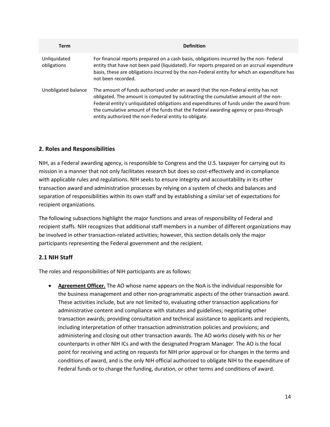| <b>Term</b>                 | <b>Definition</b>                                                                                                                                                                                                                                                                                                                                                                                                   |
|-----------------------------|---------------------------------------------------------------------------------------------------------------------------------------------------------------------------------------------------------------------------------------------------------------------------------------------------------------------------------------------------------------------------------------------------------------------|
| Unliquidated<br>obligations | For financial reports prepared on a cash basis, obligations incurred by the non- Federal<br>entity that have not been paid (liquidated). For reports prepared on an accrual expenditure<br>basis, these are obligations incurred by the non-Federal entity for which an expenditure has<br>not been recorded.                                                                                                       |
| Unobligated balance         | The amount of funds authorized under an award that the non-Federal entity has not<br>obligated. The amount is computed by subtracting the cumulative amount of the non-<br>Federal entity's unliquidated obligations and expenditures of funds under the award from<br>the cumulative amount of the funds that the Federal awarding agency or pass-through<br>entity authorized the non-Federal entity to obligate. |

#### **2. Roles and Responsibilities**

NIH, as a Federal awarding agency, is responsible to Congress and the U.S. taxpayer for carrying out its mission in a manner that not only facilitates research but does so cost-effectively and in compliance with applicable rules and regulations. NIH seeks to ensure integrity and accountability in its other transaction award and administration processes by relying on a system of checks and balances and separation of responsibilities within its own staff and by establishing a similar set of expectations for recipient organizations.

The following subsections highlight the major functions and areas of responsibility of Federal and recipient staffs. NIH recognizes that additional staff members in a number of different organizations may be involved in other transaction-related activities; however, this section details only the major participants representing the Federal government and the recipient.

#### **2.1 NIH Staff**

The roles and responsibilities of NIH participants are as follows:

• **Agreement Officer.** The AO whose name appears on the NoA is the individual responsible for the business management and other non-programmatic aspects of the other transaction award. These activities include, but are not limited to, evaluating other transaction applications for administrative content and compliance with statutes and guidelines; negotiating other transaction awards; providing consultation and technical assistance to applicants and recipients, including interpretation of other transaction administration policies and provisions; and administering and closing out other transaction awards. The AO works closely with his or her counterparts in other NIH ICs and with the designated Program Manager. The AO is the focal point for receiving and acting on requests for NIH prior approval or for changes in the terms and conditions of award, and is the only NIH official authorized to obligate NIH to the expenditure of Federal funds or to change the funding, duration, or other terms and conditions of award.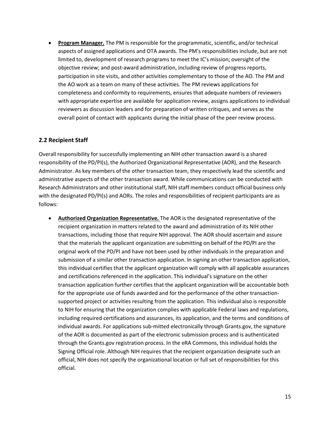• **Program Manager.** The PM is responsible for the programmatic, scientific, and/or technical aspects of assigned applications and OTA awards. The PM's responsibilities include, but are not limited to, development of research programs to meet the IC's mission; oversight of the objective review; and post-award administration, including review of progress reports, participation in site visits, and other activities complementary to those of the AO. The PM and the AO work as a team on many of these activities. The PM reviews applications for completeness and conformity to requirements, ensures that adequate numbers of reviewers with appropriate expertise are available for application review, assigns applications to individual reviewers as discussion leaders and for preparation of written critiques, and serves as the overall point of contact with applicants during the initial phase of the peer review process.

#### **2.2 Recipient Staff**

Overall responsibility for successfully implementing an NIH other transaction award is a shared responsibility of the PD/PI(s), the Authorized Organizational Representative (AOR), and the Research Administrator. As key members of the other transaction team, they respectively lead the scientific and administrative aspects of the other transaction award. While communications can be conducted with Research Administrators and other institutional staff, NIH staff members conduct official business only with the designated PD/PI(s) and AORs. The roles and responsibilities of recipient participants are as follows:

• **Authorized Organization Representative.** The AOR is the designated representative of the recipient organization in matters related to the award and administration of its NIH other transactions, including those that require NIH approval. The AOR should ascertain and assure that the materials the applicant organization are submitting on behalf of the PD/PI are the original work of the PD/PI and have not been used by other individuals in the preparation and submission of a similar other transaction application. In signing an other transaction application, this individual certifies that the applicant organization will comply with all applicable assurances and certifications referenced in the application. This individual's signature on the other transaction application further certifies that the applicant organization will be accountable both for the appropriate use of funds awarded and for the performance of the other transactionsupported project or activities resulting from the application. This individual also is responsible to NIH for ensuring that the organization complies with applicable Federal laws and regulations, including required certifications and assurances, its application, and the terms and conditions of individual awards. For applications sub-mitted electronically through Grants.gov, the signature of the AOR is documented as part of the electronic submission process and is authenticated through the Grants.gov registration process. In the eRA Commons, this individual holds the Signing Official role. Although NIH requires that the recipient organization designate such an official, NIH does not specify the organizational location or full set of responsibilities for this official.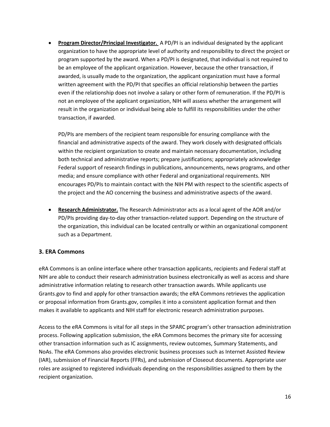• **Program Director/Principal Investigator.** A PD/PI is an individual designated by the applicant organization to have the appropriate level of authority and responsibility to direct the project or program supported by the award. When a PD/PI is designated, that individual is not required to be an employee of the applicant organization. However, because the other transaction, if awarded, is usually made to the organization, the applicant organization must have a formal written agreement with the PD/PI that specifies an official relationship between the parties even if the relationship does not involve a salary or other form of remuneration. If the PD/PI is not an employee of the applicant organization, NIH will assess whether the arrangement will result in the organization or individual being able to fulfill its responsibilities under the other transaction, if awarded.

PD/PIs are members of the recipient team responsible for ensuring compliance with the financial and administrative aspects of the award. They work closely with designated officials within the recipient organization to create and maintain necessary documentation, including both technical and administrative reports; prepare justifications; appropriately acknowledge Federal support of research findings in publications, announcements, news programs, and other media; and ensure compliance with other Federal and organizational requirements. NIH encourages PD/PIs to maintain contact with the NIH PM with respect to the scientific aspects of the project and the AO concerning the business and administrative aspects of the award.

• **Research Administrator.** The Research Administrator acts as a local agent of the AOR and/or PD/PIs providing day-to-day other transaction-related support. Depending on the structure of the organization, this individual can be located centrally or within an organizational component such as a Department.

### **3. ERA Commons**

eRA Commons is an online interface where other transaction applicants, recipients and Federal staff at NIH are able to conduct their research administration business electronically as well as access and share administrative information relating to research other transaction awards. While applicants use Grants.gov to find and apply for other transaction awards; the eRA Commons retrieves the application or proposal information from Grants.gov, compiles it into a consistent application format and then makes it available to applicants and NIH staff for electronic research administration purposes.

Access to the eRA Commons is vital for all steps in the SPARC program's other transaction administration process. Following application submission, the eRA Commons becomes the primary site for accessing other transaction information such as IC assignments, review outcomes, Summary Statements, and NoAs. The eRA Commons also provides electronic business processes such as Internet Assisted Review (IAR), submission of Financial Reports (FFRs), and submission of Closeout documents. Appropriate user roles are assigned to registered individuals depending on the responsibilities assigned to them by the recipient organization.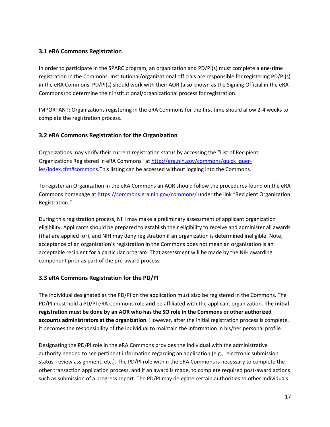### **3.1 eRA Commons Registration**

In order to participate in the SPARC program, an organization and PD/PI(s) must complete a **one-time**  registration in the Commons. Institutional/organizational officials are responsible for registering PD/PI(s) in the eRA Commons. PD/PI(s) should work with their AOR (also known as the Signing Official in the eRA Commons) to determine their institutional/organizational process for registration.

IMPORTANT: Organizations registering in the eRA Commons for the first time should allow 2-4 weeks to complete the registration process.

#### **3.2 eRA Commons Registration for the Organization**

Organizations may verify their current registration status by accessing the "List of Recipient Organizations Registered in eRA Commons" at [http://era.nih.gov/commons/quick\\_quer](http://era.nih.gov/commons/quick_quer-ies/index.cfm#commons)[ies/index.cfm#commons.](http://era.nih.gov/commons/quick_quer-ies/index.cfm#commons)This listing can be accessed without logging into the Commons.

To register an Organization in the eRA Commons an AOR should follow the procedures found on the eRA Commons homepage at<https://commons.era.nih.gov/commons/> under the link "Recipient Organization Registration."

During this registration process, NIH may make a preliminary assessment of applicant organization eligibility. Applicants should be prepared to establish their eligibility to receive and administer all awards (that are applied for), and NIH may deny registration if an organization is determined ineligible. Note, acceptance of an organization's registration in the Commons does not mean an organization is an acceptable recipient for a particular program. That assessment will be made by the NIH awarding component prior as part of the pre-award process.

#### **3.3 eRA Commons Registration for the PD/PI**

The individual designated as the PD/PI on the application must also be registered in the Commons. The PD/PI must hold a PD/PI eRA Commons role **and** be affiliated with the applicant organization. **The initial registration must be done by an AOR who has the SO role in the Commons or other authorized accounts administrators at the organization**. However, after the initial registration process is complete, it becomes the responsibility of the individual to maintain the information in his/her personal profile.

Designating the PD/PI role in the eRA Commons provides the individual with the administrative authority needed to see pertinent information regarding an application (e.g., electronic submission status, review assignment, etc.). The PD/PI role within the eRA Commons is necessary to complete the other transaction application process, and if an award is made, to complete required post-award actions such as submission of a progress report. The PD/PI may delegate certain authorities to other individuals.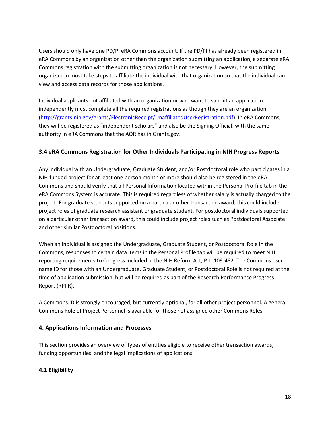Users should only have one PD/PI eRA Commons account. If the PD/PI has already been registered in eRA Commons by an organization other than the organization submitting an application, a separate eRA Commons registration with the submitting organization is not necessary. However, the submitting organization must take steps to affiliate the individual with that organization so that the individual can view and access data records for those applications.

Individual applicants not affiliated with an organization or who want to submit an application independently must complete all the required registrations as though they are an organization [\(http://grants.nih.gov/grants/ElectronicReceipt/UnaffiliatedUserRegistration.pdf\)](http://grants.nih.gov/grants/ElectronicReceipt/UnaffiliatedUserRegistration.pdf). In eRA Commons, they will be registered as "independent scholars" and also be the Signing Official, with the same authority in eRA Commons that the AOR has in Grants.gov.

#### **3.4 eRA Commons Registration for Other Individuals Participating in NIH Progress Reports**

Any individual with an Undergraduate, Graduate Student, and/or Postdoctoral role who participates in a NIH-funded project for at least one person month or more should also be registered in the eRA Commons and should verify that all Personal Information located within the Personal Pro-file tab in the eRA Commons System is accurate. This is required regardless of whether salary is actually charged to the project. For graduate students supported on a particular other transaction award, this could include project roles of graduate research assistant or graduate student. For postdoctoral individuals supported on a particular other transaction award, this could include project roles such as Postdoctoral Associate and other similar Postdoctoral positions.

When an individual is assigned the Undergraduate, Graduate Student, or Postdoctoral Role in the Commons, responses to certain data items in the Personal Profile tab will be required to meet NIH reporting requirements to Congress included in the NIH Reform Act, P.L. 109-482. The Commons user name ID for those with an Undergraduate, Graduate Student, or Postdoctoral Role is not required at the time of application submission, but will be required as part of the Research Performance Progress Report (RPPR).

A Commons ID is strongly encouraged, but currently optional, for all other project personnel. A general Commons Role of Project Personnel is available for those not assigned other Commons Roles.

#### **4. Applications Information and Processes**

This section provides an overview of types of entities eligible to receive other transaction awards, funding opportunities, and the legal implications of applications.

### **4.1 Eligibility**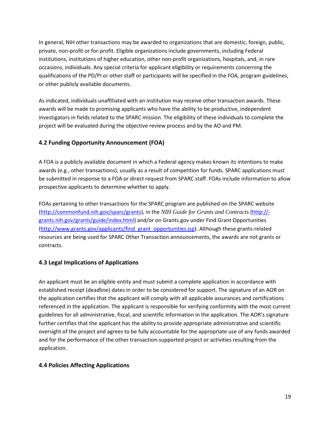In general, NIH other transactions may be awarded to organizations that are domestic, foreign, public, private, non-profit or for-profit. Eligible organizations include governments, including Federal institutions, institutions of higher education, other non-profit organizations, hospitals, and, in rare occasions, individuals. Any special criteria for applicant eligibility or requirements concerning the qualifications of the PD/PI or other staff or participants will be specified in the FOA, program guidelines, or other publicly available documents.

As indicated, individuals unaffiliated with an institution may receive other transaction awards. These awards will be made to promising applicants who have the ability to be productive, independent investigators in fields related to the SPARC mission. The eligibility of these individuals to complete the project will be evaluated during the objective review process and by the AO and PM.

### **4.2 Funding Opportunity Announcement (FOA)**

A FOA is a publicly available document in which a Federal agency makes known its intentions to make awards (e.g., other transactions), usually as a result of competition for funds. SPARC applications must be submitted in response to a FOA or direct request from SPARC staff. FOAs include information to allow prospective applicants to determine whether to apply.

FOAs pertaining to other transactions for the SPARC program are published on the SPARC website [\(http://commonfund.nih.gov/sparc/grants\)](http://commonfund.nih.gov/sparc/grants), in the *NIH Guide for Grants and Contracts* [\(http://](http://-grants.nih.gov/grants/guide/index.html) [grants.nih.gov/grants/guide/index.html\)](http://-grants.nih.gov/grants/guide/index.html) and/or on Grants.gov under Find Grant Opportunities [\(http://www.grants.gov/applicants/find\\_grant\\_opportunities.jsp\)](http://www.grants.gov/applicants/find_grant_opportunities.jsp). Although these grants-related resources are being used for SPARC Other Transaction announcements, the awards are not grants or contracts.

## **4.3 Legal Implications of Applications**

An applicant must be an eligible entity and must submit a complete application in accordance with established receipt (deadline) dates in order to be considered for support. The signature of an AOR on the application certifies that the applicant will comply with all applicable assurances and certifications referenced in the application. The applicant is responsible for verifying conformity with the most current guidelines for all administrative, fiscal, and scientific information in the application. The AOR's signature further certifies that the applicant has the ability to provide appropriate administrative and scientific oversight of the project and agrees to be fully accountable for the appropriate use of any funds awarded and for the performance of the other transaction-supported project or activities resulting from the application.

### **4.4 Policies Affecting Applications**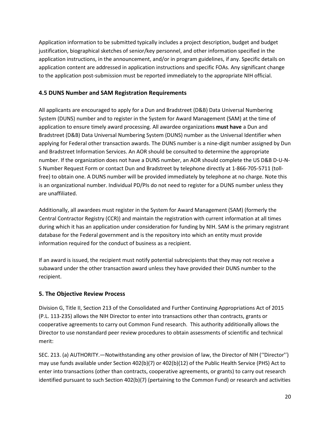Application information to be submitted typically includes a project description, budget and budget justification, biographical sketches of senior/key personnel, and other information specified in the application instructions, in the announcement, and/or in program guidelines, if any. Specific details on application content are addressed in application instructions and specific FOAs. Any significant change to the application post-submission must be reported immediately to the appropriate NIH official.

### **4.5 DUNS Number and SAM Registration Requirements**

All applicants are encouraged to apply for a Dun and Bradstreet (D&B) Data Universal Numbering System (DUNS) number and to register in the System for Award Management (SAM) at the time of application to ensure timely award processing. All awardee organizations **must have** a Dun and Bradstreet (D&B) Data Universal Numbering System (DUNS) number as the Universal Identifier when applying for Federal other transaction awards. The DUNS number is a nine-digit number assigned by Dun and Bradstreet Information Services. An AOR should be consulted to determine the appropriate number. If the organization does not have a DUNS number, an AOR should complete the US D&B D-U-N-S Number Request Form or contact Dun and Bradstreet by telephone directly at 1-866-705-5711 (tollfree) to obtain one. A DUNS number will be provided immediately by telephone at no charge. Note this is an organizational number. Individual PD/PIs do not need to register for a DUNS number unless they are unaffiliated.

Additionally, all awardees must register in the System for Award Management (SAM) (formerly the Central Contractor Registry (CCR)) and maintain the registration with current information at all times during which it has an application under consideration for funding by NIH. SAM is the primary registrant database for the Federal government and is the repository into which an entity must provide information required for the conduct of business as a recipient.

If an award is issued, the recipient must notify potential subrecipients that they may not receive a subaward under the other transaction award unless they have provided their DUNS number to the recipient.

## **5. The Objective Review Process**

Division G, Title II, Section 213 of the Consolidated and Further Continuing Appropriations Act of 2015 (P.L. 113-235) allows the NIH Director to enter into transactions other than contracts, grants or cooperative agreements to carry out Common Fund research. This authority additionally allows the Director to use nonstandard peer review procedures to obtain assessments of scientific and technical merit:

SEC. 213. (a) AUTHORITY.—Notwithstanding any other provision of law, the Director of NIH (''Director'') may use funds available under Section 402(b)(7) or 402(b)(12) of the Public Health Service (PHS) Act to enter into transactions (other than contracts, cooperative agreements, or grants) to carry out research identified pursuant to such Section 402(b)(7) (pertaining to the Common Fund) or research and activities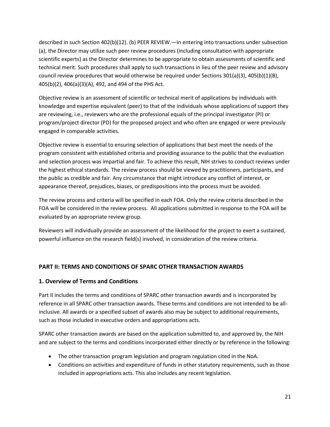described in such Section 402(b)(12). (b) PEER REVIEW.—In entering into transactions under subsection (a), the Director may utilize such peer review procedures (including consultation with appropriate scientific experts) as the Director determines to be appropriate to obtain assessments of scientific and technical merit. Such procedures shall apply to such transactions in lieu of the peer review and advisory council review procedures that would otherwise be required under Sections 301(a)(3), 405(b)(1)(B), 405(b)(2), 406(a)(3)(A), 492, and 494 of the PHS Act.

Objective review is an assessment of scientific or technical merit of applications by individuals with knowledge and expertise equivalent (peer) to that of the individuals whose applications of support they are reviewing, i.e., reviewers who are the professional equals of the principal investigator (PI) or program/project director (PD) for the proposed project and who often are engaged or were previously engaged in comparable activities.

Objective review is essential to ensuring selection of applications that best meet the needs of the program consistent with established criteria and providing assurance to the public that the evaluation and selection process was impartial and fair. To achieve this result, NIH strives to conduct reviews under the highest ethical standards. The review process should be viewed by practitioners, participants, and the public as credible and fair. Any circumstance that might introduce any conflict of interest, or appearance thereof, prejudices, biases, or predispositions into the process must be avoided.

The review process and criteria will be specified in each FOA. Only the review criteria described in the FOA will be considered in the review process. All applications submitted in response to the FOA will be evaluated by an appropriate review group.

Reviewers will individually provide an assessment of the likelihood for the project to exert a sustained, powerful influence on the research field(s) involved, in consideration of the review criteria.

### **PART II: TERMS AND CONDITIONS OF SPARC OTHER TRANSACTION AWARDS**

#### **1. Overview of Terms and Conditions**

Part II includes the terms and conditions of SPARC other transaction awards and is incorporated by reference in all SPARC other transaction awards. These terms and conditions are not intended to be allinclusive. All awards or a specified subset of awards also may be subject to additional requirements, such as those included in executive orders and appropriations acts.

SPARC other transaction awards are based on the application submitted to, and approved by, the NIH and are subject to the terms and conditions incorporated either directly or by reference in the following:

- The other transaction program legislation and program regulation cited in the NoA.
- Conditions on activities and expenditure of funds in other statutory requirements, such as those included in appropriations acts. This also includes any recent legislation.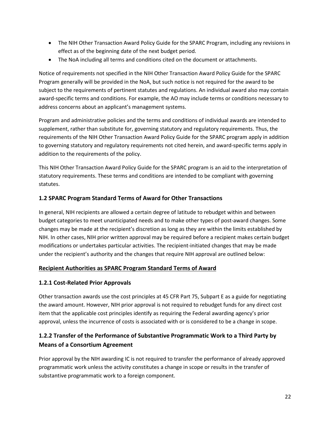- The NIH Other Transaction Award Policy Guide for the SPARC Program, including any revisions in effect as of the beginning date of the next budget period.
- The NoA including all terms and conditions cited on the document or attachments.

Notice of requirements not specified in the NIH Other Transaction Award Policy Guide for the SPARC Program generally will be provided in the NoA, but such notice is not required for the award to be subject to the requirements of pertinent statutes and regulations. An individual award also may contain award-specific terms and conditions. For example, the AO may include terms or conditions necessary to address concerns about an applicant's management systems.

Program and administrative policies and the terms and conditions of individual awards are intended to supplement, rather than substitute for, governing statutory and regulatory requirements. Thus, the requirements of the NIH Other Transaction Award Policy Guide for the SPARC program apply in addition to governing statutory and regulatory requirements not cited herein, and award-specific terms apply in addition to the requirements of the policy.

This NIH Other Transaction Award Policy Guide for the SPARC program is an aid to the interpretation of statutory requirements. These terms and conditions are intended to be compliant with governing statutes.

#### **1.2 SPARC Program Standard Terms of Award for Other Transactions**

In general, NIH recipients are allowed a certain degree of latitude to rebudget within and between budget categories to meet unanticipated needs and to make other types of post-award changes. Some changes may be made at the recipient's discretion as long as they are within the limits established by NIH. In other cases, NIH prior written approval may be required before a recipient makes certain budget modifications or undertakes particular activities. The recipient-initiated changes that may be made under the recipient's authority and the changes that require NIH approval are outlined below:

#### **Recipient Authorities as SPARC Program Standard Terms of Award**

#### **1.2.1 Cost-Related Prior Approvals**

Other transaction awards use the cost principles at 45 CFR Part 75, Subpart E as a guide for negotiating the award amount. However, NIH prior approval is not required to rebudget funds for any direct cost item that the applicable cost principles identify as requiring the Federal awarding agency's prior approval, unless the incurrence of costs is associated with or is considered to be a change in scope.

# **1.2.2 Transfer of the Performance of Substantive Programmatic Work to a Third Party by Means of a Consortium Agreement**

Prior approval by the NIH awarding IC is not required to transfer the performance of already approved programmatic work unless the activity constitutes a change in scope or results in the transfer of substantive programmatic work to a foreign component.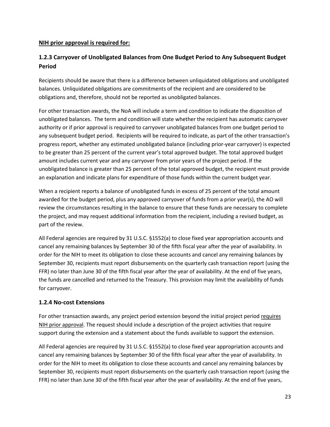#### **NIH prior approval is required for:**

## **1.2.3 Carryover of Unobligated Balances from One Budget Period to Any Subsequent Budget Period**

Recipients should be aware that there is a difference between unliquidated obligations and unobligated balances. Unliquidated obligations are commitments of the recipient and are considered to be obligations and, therefore, should not be reported as unobligated balances.

For other transaction awards, the NoA will include a term and condition to indicate the disposition of unobligated balances. The term and condition will state whether the recipient has automatic carryover authority or if prior approval is required to carryover unobligated balances from one budget period to any subsequent budget period. Recipients will be required to indicate, as part of the other transaction's progress report, whether any estimated unobligated balance (including prior-year carryover) is expected to be greater than 25 percent of the current year's total approved budget. The total approved budget amount includes current year and any carryover from prior years of the project period. If the unobligated balance is greater than 25 percent of the total approved budget, the recipient must provide an explanation and indicate plans for expenditure of those funds within the current budget year.

When a recipient reports a balance of unobligated funds in excess of 25 percent of the total amount awarded for the budget period, plus any approved carryover of funds from a prior year(s), the AO will review the circumstances resulting in the balance to ensure that these funds are necessary to complete the project, and may request additional information from the recipient, including a revised budget, as part of the review.

All Federal agencies are required by 31 U.S.C. §1552(a) to close fixed year appropriation accounts and cancel any remaining balances by September 30 of the fifth fiscal year after the year of availability. In order for the NIH to meet its obligation to close these accounts and cancel any remaining balances by September 30, recipients must report disbursements on the quarterly cash transaction report (using the FFR) no later than June 30 of the fifth fiscal year after the year of availability. At the end of five years, the funds are cancelled and returned to the Treasury. This provision may limit the availability of funds for carryover.

#### **1.2.4 No-cost Extensions**

For other transaction awards, any project period extension beyond the initial project period requires NIH prior approval. The request should include a description of the project activities that require support during the extension and a statement about the funds available to support the extension.

All Federal agencies are required by 31 U.S.C. §1552(a) to close fixed year appropriation accounts and cancel any remaining balances by September 30 of the fifth fiscal year after the year of availability. In order for the NIH to meet its obligation to close these accounts and cancel any remaining balances by September 30, recipients must report disbursements on the quarterly cash transaction report (using the FFR) no later than June 30 of the fifth fiscal year after the year of availability. At the end of five years,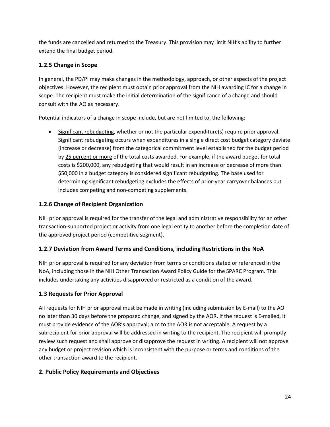the funds are cancelled and returned to the Treasury. This provision may limit NIH's ability to further extend the final budget period.

### **1.2.5 Change in Scope**

In general, the PD/PI may make changes in the methodology, approach, or other aspects of the project objectives. However, the recipient must obtain prior approval from the NIH awarding IC for a change in scope. The recipient must make the initial determination of the significance of a change and should consult with the AO as necessary.

Potential indicators of a change in scope include, but are not limited to, the following:

• Significant rebudgeting, whether or not the particular expenditure(s) require prior approval. Significant rebudgeting occurs when expenditures in a single direct cost budget category deviate (increase or decrease) from the categorical commitment level established for the budget period by 25 percent or more of the total costs awarded. For example, if the award budget for total costs is \$200,000, any rebudgeting that would result in an increase or decrease of more than \$50,000 in a budget category is considered significant rebudgeting. The base used for determining significant rebudgeting excludes the effects of prior-year carryover balances but includes competing and non-competing supplements.

### **1.2.6 Change of Recipient Organization**

NIH prior approval is required for the transfer of the legal and administrative responsibility for an other transaction-supported project or activity from one legal entity to another before the completion date of the approved project period (competitive segment).

### **1.2.7 Deviation from Award Terms and Conditions, including Restrictions in the NoA**

NIH prior approval is required for any deviation from terms or conditions stated or referenced in the NoA, including those in the NIH Other Transaction Award Policy Guide for the SPARC Program. This includes undertaking any activities disapproved or restricted as a condition of the award.

## **1.3 Requests for Prior Approval**

All requests for NIH prior approval must be made in writing (including submission by E-mail) to the AO no later than 30 days before the proposed change, and signed by the AOR. If the request is E-mailed, it must provide evidence of the AOR's approval; a cc to the AOR is not acceptable. A request by a subrecipient for prior approval will be addressed in writing to the recipient. The recipient will promptly review such request and shall approve or disapprove the request in writing. A recipient will not approve any budget or project revision which is inconsistent with the purpose or terms and conditions of the other transaction award to the recipient.

### **2. Public Policy Requirements and Objectives**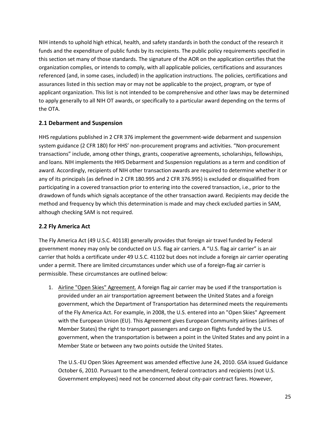NIH intends to uphold high ethical, health, and safety standards in both the conduct of the research it funds and the expenditure of public funds by its recipients. The public policy requirements specified in this section set many of those standards. The signature of the AOR on the application certifies that the organization complies, or intends to comply, with all applicable policies, certifications and assurances referenced (and, in some cases, included) in the application instructions. The policies, certifications and assurances listed in this section may or may not be applicable to the project, program, or type of applicant organization. This list is not intended to be comprehensive and other laws may be determined to apply generally to all NIH OT awards, or specifically to a particular award depending on the terms of the OTA.

### **2.1 Debarment and Suspension**

HHS regulations published in 2 CFR 376 implement the government-wide debarment and suspension system guidance (2 CFR 180) for HHS' non-procurement programs and activities. "Non-procurement transactions" include, among other things, grants, cooperative agreements, scholarships, fellowships, and loans. NIH implements the HHS Debarment and Suspension regulations as a term and condition of award. Accordingly, recipients of NIH other transaction awards are required to determine whether it or any of its principals (as defined in 2 CFR 180.995 and 2 CFR 376.995) is excluded or disqualified from participating in a covered transaction prior to entering into the covered transaction, i.e., prior to the drawdown of funds which signals acceptance of the other transaction award. Recipients may decide the method and frequency by which this determination is made and may check excluded parties in SAM, although checking SAM is not required.

#### **2.2 Fly America Act**

The Fly America Act (49 U.S.C. 40118) generally provides that foreign air travel funded by Federal government money may only be conducted on U.S. flag air carriers. A "U.S. flag air carrier" is an air carrier that holds a certificate under 49 U.S.C. 41102 but does not include a foreign air carrier operating under a permit. There are limited circumstances under which use of a foreign-flag air carrier is permissible. These circumstances are outlined below:

1. Airline "Open Skies" Agreement. A foreign flag air carrier may be used if the transportation is provided under an air transportation agreement between the United States and a foreign government, which the Department of Transportation has determined meets the requirements of the Fly America Act. For example, in 2008, the U.S. entered into an "Open Skies" Agreement with the European Union (EU). This Agreement gives European Community airlines (airlines of Member States) the right to transport passengers and cargo on flights funded by the U.S. government, when the transportation is between a point in the United States and any point in a Member State or between any two points outside the United States.

The U.S.-EU Open Skies Agreement was amended effective June 24, 2010. GSA issued Guidance October 6, 2010. Pursuant to the amendment, federal contractors and recipients (not U.S. Government employees) need not be concerned about city-pair contract fares. However,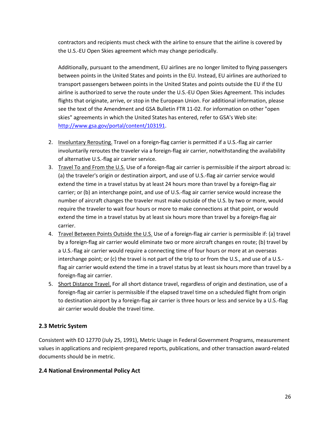contractors and recipients must check with the airline to ensure that the airline is covered by the U.S.-EU Open Skies agreement which may change periodically.

Additionally, pursuant to the amendment, EU airlines are no longer limited to flying passengers between points in the United States and points in the EU. Instead, EU airlines are authorized to transport passengers between points in the United States and points outside the EU if the EU airline is authorized to serve the route under the U.S.-EU Open Skies Agreement. This includes flights that originate, arrive, or stop in the European Union. For additional information, please see the text of the Amendment and GSA Bulletin FTR 11-02. For information on other "open skies" agreements in which the United States has entered, refer to GSA's Web site: [http://www.gsa.gov/portal/content/103191.](http://www.gsa.gov/portal/content/103191)

- 2. Involuntary Rerouting. Travel on a foreign-flag carrier is permitted if a U.S.-flag air carrier involuntarily reroutes the traveler via a foreign-flag air carrier, notwithstanding the availability of alternative U.S.-flag air carrier service.
- 3. Travel To and From the U.S. Use of a foreign-flag air carrier is permissible if the airport abroad is: (a) the traveler's origin or destination airport, and use of U.S.-flag air carrier service would extend the time in a travel status by at least 24 hours more than travel by a foreign-flag air carrier; or (b) an interchange point, and use of U.S.-flag air carrier service would increase the number of aircraft changes the traveler must make outside of the U.S. by two or more, would require the traveler to wait four hours or more to make connections at that point, or would extend the time in a travel status by at least six hours more than travel by a foreign-flag air carrier.
- 4. Travel Between Points Outside the U.S. Use of a foreign-flag air carrier is permissible if: (a) travel by a foreign-flag air carrier would eliminate two or more aircraft changes en route; (b) travel by a U.S.-flag air carrier would require a connecting time of four hours or more at an overseas interchange point; or (c) the travel is not part of the trip to or from the U.S., and use of a U.S. flag air carrier would extend the time in a travel status by at least six hours more than travel by a foreign-flag air carrier.
- 5. Short Distance Travel. For all short distance travel, regardless of origin and destination, use of a foreign-flag air carrier is permissible if the elapsed travel time on a scheduled flight from origin to destination airport by a foreign-flag air carrier is three hours or less and service by a U.S.-flag air carrier would double the travel time.

### **2.3 Metric System**

Consistent with EO 12770 (July 25, 1991), Metric Usage in Federal Government Programs, measurement values in applications and recipient-prepared reports, publications, and other transaction award-related documents should be in metric.

### **2.4 National Environmental Policy Act**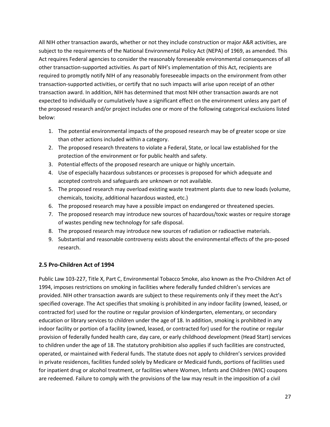All NIH other transaction awards, whether or not they include construction or major A&R activities, are subject to the requirements of the National Environmental Policy Act (NEPA) of 1969, as amended. This Act requires Federal agencies to consider the reasonably foreseeable environmental consequences of all other transaction-supported activities. As part of NIH's implementation of this Act, recipients are required to promptly notify NIH of any reasonably foreseeable impacts on the environment from other transaction-supported activities, or certify that no such impacts will arise upon receipt of an other transaction award. In addition, NIH has determined that most NIH other transaction awards are not expected to individually or cumulatively have a significant effect on the environment unless any part of the proposed research and/or project includes one or more of the following categorical exclusions listed below:

- 1. The potential environmental impacts of the proposed research may be of greater scope or size than other actions included within a category.
- 2. The proposed research threatens to violate a Federal, State, or local law established for the protection of the environment or for public health and safety.
- 3. Potential effects of the proposed research are unique or highly uncertain.
- 4. Use of especially hazardous substances or processes is proposed for which adequate and accepted controls and safeguards are unknown or not available.
- 5. The proposed research may overload existing waste treatment plants due to new loads (volume, chemicals, toxicity, additional hazardous wasted, etc.)
- 6. The proposed research may have a possible impact on endangered or threatened species.
- 7. The proposed research may introduce new sources of hazardous/toxic wastes or require storage of wastes pending new technology for safe disposal.
- 8. The proposed research may introduce new sources of radiation or radioactive materials.
- 9. Substantial and reasonable controversy exists about the environmental effects of the pro-posed research.

### **2.5 Pro-Children Act of 1994**

Public Law 103-227, Title X, Part C, Environmental Tobacco Smoke, also known as the Pro-Children Act of 1994, imposes restrictions on smoking in facilities where federally funded children's services are provided. NIH other transaction awards are subject to these requirements only if they meet the Act's specified coverage. The Act specifies that smoking is prohibited in any indoor facility (owned, leased, or contracted for) used for the routine or regular provision of kindergarten, elementary, or secondary education or library services to children under the age of 18. In addition, smoking is prohibited in any indoor facility or portion of a facility (owned, leased, or contracted for) used for the routine or regular provision of federally funded health care, day care, or early childhood development (Head Start) services to children under the age of 18. The statutory prohibition also applies if such facilities are constructed, operated, or maintained with Federal funds. The statute does not apply to children's services provided in private residences, facilities funded solely by Medicare or Medicaid funds, portions of facilities used for inpatient drug or alcohol treatment, or facilities where Women, Infants and Children (WIC) coupons are redeemed. Failure to comply with the provisions of the law may result in the imposition of a civil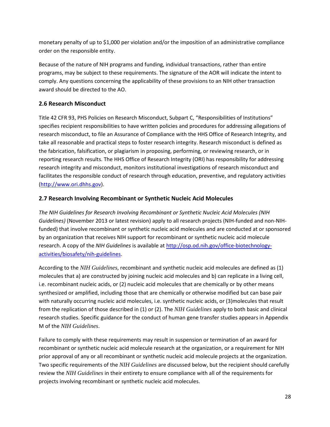monetary penalty of up to \$1,000 per violation and/or the imposition of an administrative compliance order on the responsible entity.

Because of the nature of NIH programs and funding, individual transactions, rather than entire programs, may be subject to these requirements. The signature of the AOR will indicate the intent to comply. Any questions concerning the applicability of these provisions to an NIH other transaction award should be directed to the AO.

## **2.6 Research Misconduct**

Title 42 CFR 93, PHS Policies on Research Misconduct, Subpart C, "Responsibilities of Institutions" specifies recipient responsibilities to have written policies and procedures for addressing allegations of research misconduct, to file an Assurance of Compliance with the HHS Office of Research Integrity, and take all reasonable and practical steps to foster research integrity. Research misconduct is defined as the fabrication, falsification, or plagiarism in proposing, performing, or reviewing research, or in reporting research results. The HHS Office of Research Integrity (ORI) has responsibility for addressing research integrity and misconduct, monitors institutional investigations of research misconduct and facilitates the responsible conduct of research through education, preventive, and regulatory activities [\(http://www.ori.dhhs.gov\)](http://www.ori.dhhs.gov/).

### **2.7 Research Involving Recombinant or Synthetic Nucleic Acid Molecules**

*The NIH Guidelines for Research Involving Recombinant or Synthetic Nucleic Acid Molecules (NIH Guidelines)* (November 2013 or latest revision) apply to all research projects (NIH-funded and non-NIHfunded) that involve recombinant or synthetic nucleic acid molecules and are conducted at or sponsored by an organization that receives NIH support for recombinant or synthetic nucleic acid molecule research. A copy of the *NIH Guidelines* is available at [http://osp.od.nih.gov/office-biotechnology](http://osp.od.nih.gov/office-biotechnology-activities/biosafety/nih-guidelines)[activities/biosafety/nih-guidelines.](http://osp.od.nih.gov/office-biotechnology-activities/biosafety/nih-guidelines)

According to the *NIH Guidelines*, recombinant and synthetic nucleic acid molecules are defined as (1) molecules that a) are constructed by joining nucleic acid molecules and b) can replicate in a living cell, i.e. recombinant nucleic acids, or (2) nucleic acid molecules that are chemically or by other means synthesized or amplified, including those that are chemically or otherwise modified but can base pair with naturally occurring nucleic acid molecules, i.e. synthetic nucleic acids, or (3)molecules that result from the replication of those described in (1) or (2). The *NIH Guidelines* apply to both basic and clinical research studies. Specific guidance for the conduct of human gene transfer studies appears in Appendix M of the *NIH Guidelines*.

Failure to comply with these requirements may result in suspension or termination of an award for recombinant or synthetic nucleic acid molecule research at the organization, or a requirement for NIH prior approval of any or all recombinant or synthetic nucleic acid molecule projects at the organization. Two specific requirements of the *NIH Guidelines* are discussed below, but the recipient should carefully review the *NIH Guidelines* in their entirety to ensure compliance with all of the requirements for projects involving recombinant or synthetic nucleic acid molecules.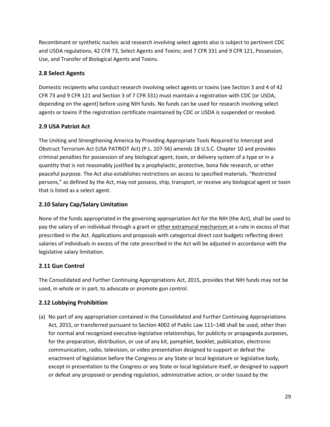Recombinant or synthetic nucleic acid research involving select agents also is subject to pertinent CDC and USDA regulations, 42 CFR 73, Select Agents and Toxins; and 7 CFR 331 and 9 CFR 121, Possession, Use, and Transfer of Biological Agents and Toxins.

### **2.8 Select Agents**

Domestic recipients who conduct research involving select agents or toxins (see Section 3 and 4 of 42 CFR 73 and 9 CFR 121 and Section 3 of 7 CFR 331) must maintain a registration with CDC (or USDA, depending on the agent) before using NIH funds. No funds can be used for research involving select agents or toxins if the registration certificate maintained by CDC or USDA is suspended or revoked.

## **2.9 USA Patriot Act**

The Uniting and Strengthening America by Providing Appropriate Tools Required to Intercept and Obstruct Terrorism Act (USA PATRIOT Act) (P.L. 107-56) amends 18 U.S.C. Chapter 10 and provides criminal penalties for possession of any biological agent, toxin, or delivery system of a type or in a quantity that is not reasonably justified by a prophylactic, protective, bona fide research, or other peaceful purpose. The Act also establishes restrictions on access to specified materials. "Restricted persons," as defined by the Act, may not possess, ship, transport, or receive any biological agent or toxin that is listed as a select agent.

## **2.10 Salary Cap/Salary Limitation**

None of the funds appropriated in the governing appropriation Act for the NIH (the Act), shall be used to pay the salary of an individual through a grant or other extramural mechanism at a rate in excess of that prescribed in the Act. Applications and proposals with categorical direct cost budgets reflecting direct salaries of individuals in excess of the rate prescribed in the Act will be adjusted in accordance with the legislative salary limitation.

## **2.11 Gun Control**

The Consolidated and Further Continuing Appropriations Act, 2015, provides that NIH funds may not be used, in whole or in part, to advocate or promote gun control.

## **2.12 Lobbying Prohibition**

(a) No part of any appropriation contained in the Consolidated and Further Continuing Appropriations Act, 2015, or transferred pursuant to Section 4002 of Public Law 111–148 shall be used, other than for normal and recognized executive-legislative relationships, for publicity or propaganda purposes, for the preparation, distribution, or use of any kit, pamphlet, booklet, publication, electronic communication, radio, television, or video presentation designed to support or defeat the enactment of legislation before the Congress or any State or local legislature or legislative body, except in presentation to the Congress or any State or local legislature itself, or designed to support or defeat any proposed or pending regulation, administrative action, or order issued by the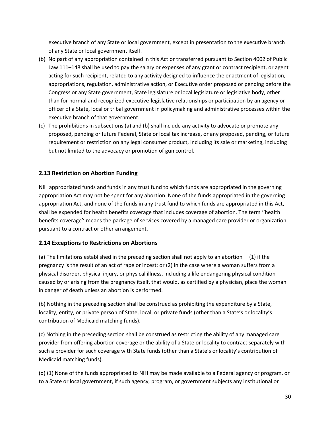executive branch of any State or local government, except in presentation to the executive branch of any State or local government itself.

- (b) No part of any appropriation contained in this Act or transferred pursuant to Section 4002 of Public Law 111–148 shall be used to pay the salary or expenses of any grant or contract recipient, or agent acting for such recipient, related to any activity designed to influence the enactment of legislation, appropriations, regulation, administrative action, or Executive order proposed or pending before the Congress or any State government, State legislature or local legislature or legislative body, other than for normal and recognized executive-legislative relationships or participation by an agency or officer of a State, local or tribal government in policymaking and administrative processes within the executive branch of that government.
- (c) The prohibitions in subsections (a) and (b) shall include any activity to advocate or promote any proposed, pending or future Federal, State or local tax increase, or any proposed, pending, or future requirement or restriction on any legal consumer product, including its sale or marketing, including but not limited to the advocacy or promotion of gun control.

## **2.13 Restriction on Abortion Funding**

NIH appropriated funds and funds in any trust fund to which funds are appropriated in the governing appropriation Act may not be spent for any abortion. None of the funds appropriated in the governing appropriation Act, and none of the funds in any trust fund to which funds are appropriated in this Act, shall be expended for health benefits coverage that includes coverage of abortion. The term ''health benefits coverage'' means the package of services covered by a managed care provider or organization pursuant to a contract or other arrangement.

### **2.14 Exceptions to Restrictions on Abortions**

(a) The limitations established in the preceding section shall not apply to an abortion— (1) if the pregnancy is the result of an act of rape or incest; or (2) in the case where a woman suffers from a physical disorder, physical injury, or physical illness, including a life endangering physical condition caused by or arising from the pregnancy itself, that would, as certified by a physician, place the woman in danger of death unless an abortion is performed.

(b) Nothing in the preceding section shall be construed as prohibiting the expenditure by a State, locality, entity, or private person of State, local, or private funds (other than a State's or locality's contribution of Medicaid matching funds).

(c) Nothing in the preceding section shall be construed as restricting the ability of any managed care provider from offering abortion coverage or the ability of a State or locality to contract separately with such a provider for such coverage with State funds (other than a State's or locality's contribution of Medicaid matching funds).

(d) (1) None of the funds appropriated to NIH may be made available to a Federal agency or program, or to a State or local government, if such agency, program, or government subjects any institutional or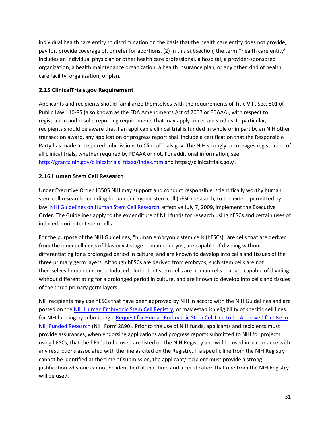individual health care entity to discrimination on the basis that the health care entity does not provide, pay for, provide coverage of, or refer for abortions. (2) In this subsection, the term ''health care entity'' includes an individual physician or other health care professional, a hospital, a provider-sponsored organization, a health maintenance organization, a health insurance plan, or any other kind of health care facility, organization, or plan.

### **2.15 ClinicalTrials.gov Requirement**

Applicants and recipients should familiarize themselves with the requirements of Title VIII, Sec. 801 of Public Law 110-85 (also known as the FDA Amendments Act of 2007 or FDAAA), with respect to registration and results reporting requirements that may apply to certain studies. In particular, recipients should be aware that if an applicable clinical trial is funded in whole or in part by an NIH other transaction award, any application or progress report shall include a certification that the Responsible Party has made all required submissions to ClinicalTrials.gov. The NIH strongly encourages registration of all clinical trials, whether required by FDAAA or not. For additional information, see [http://grants.nih.gov/clinicaltrials\\_fdaaa/index.htm](http://grants.nih.gov/clinicaltrials_fdaaa/index.htm) and https://clinicaltrials.gov/.

### **2.16 Human Stem Cell Research**

Under Executive Order 13505 NIH may support and conduct responsible, scientifically worthy human stem cell research, including human embryonic stem cell (hESC) research, to the extent permitted by law. [NIH Guidelines on Human Stem Cell Research,](http://stemcells.nih.gov/policy/pages/2009guidelines.aspx) effective July 7, 2009, implement the Executive Order. The Guidelines apply to the expenditure of NIH funds for research using hESCs and certain uses of induced pluripotent stem cells.

For the purpose of the NIH Guidelines, "human embryonic stem cells (hESCs)" are cells that are derived from the inner cell mass of blastocyst stage human embryos, are capable of dividing without differentiating for a prolonged period in culture, and are known to develop into cells and tissues of the three primary germ layers. Although hESCs are derived from embryos, such stem cells are not themselves human embryos. Induced pluripotent stem cells are human cells that are capable of dividing without differentiating for a prolonged period in culture, and are known to develop into cells and tissues of the three primary germ layers.

NIH recipients may use hESCs that have been approved by NIH in accord with the NIH Guidelines and are posted on the [NIH Human Embryonic Stem Cell Registry,](http://grants.nih.gov/stem_cells/registry/current.htm) or may establish eligibility of specific cell lines for NIH funding by submitting a [Request for Human Embryonic Stem Cell Line to be Approved for Use in](http://hescregapp.od.nih.gov/NIH_Form_2890_Login.htm)  [NIH Funded Research](http://hescregapp.od.nih.gov/NIH_Form_2890_Login.htm) (NIH Form 2890). Prior to the use of NIH funds, applicants and recipients must provide assurances, when endorsing applications and progress reports submitted to NIH for projects using hESCs, that the hESCs to be used are listed on the NIH Registry and will be used in accordance with any restrictions associated with the line as cited on the Registry. If a specific line from the NIH Registry cannot be identified at the time of submission, the applicant/recipient must provide a strong justification why one cannot be identified at that time and a certification that one from the NIH Registry will be used.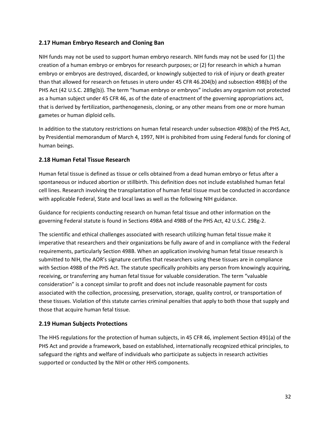#### **2.17 Human Embryo Research and Cloning Ban**

NIH funds may not be used to support human embryo research. NIH funds may not be used for (1) the creation of a human embryo or embryos for research purposes; or (2) for research in which a human embryo or embryos are destroyed, discarded, or knowingly subjected to risk of injury or death greater than that allowed for research on fetuses in utero under 45 CFR 46.204(b) and subsection 498(b) of the PHS Act (42 U.S.C. 289g(b)). The term "human embryo or embryos" includes any organism not protected as a human subject under 45 CFR 46, as of the date of enactment of the governing appropriations act, that is derived by fertilization, parthenogenesis, cloning, or any other means from one or more human gametes or human diploid cells.

In addition to the statutory restrictions on human fetal research under subsection 498(b) of the PHS Act, by Presidential memorandum of March 4, 1997, NIH is prohibited from using Federal funds for cloning of human beings.

#### **2.18 Human Fetal Tissue Research**

Human fetal tissue is defined as tissue or cells obtained from a dead human embryo or fetus after a spontaneous or induced abortion or stillbirth. This definition does not include established human fetal cell lines. Research involving the transplantation of human fetal tissue must be conducted in accordance with applicable Federal, State and local laws as well as the following NIH guidance.

Guidance for recipients conducting research on human fetal tissue and other information on the governing Federal statute is found in Sections 498A and 498B of the PHS Act, 42 U.S.C. 298g-2.

The scientific and ethical challenges associated with research utilizing human fetal tissue make it imperative that researchers and their organizations be fully aware of and in compliance with the Federal requirements, particularly Section 498B. When an application involving human fetal tissue research is submitted to NIH, the AOR's signature certifies that researchers using these tissues are in compliance with Section 498B of the PHS Act. The statute specifically prohibits any person from knowingly acquiring, receiving, or transferring any human fetal tissue for valuable consideration. The term "valuable consideration" is a concept similar to profit and does not include reasonable payment for costs associated with the collection, processing, preservation, storage, quality control, or transportation of these tissues. Violation of this statute carries criminal penalties that apply to both those that supply and those that acquire human fetal tissue.

#### **2.19 Human Subjects Protections**

The HHS regulations for the protection of human subjects, in 45 CFR 46, implement Section 491(a) of the PHS Act and provide a framework, based on established, internationally recognized ethical principles, to safeguard the rights and welfare of individuals who participate as subjects in research activities supported or conducted by the NIH or other HHS components.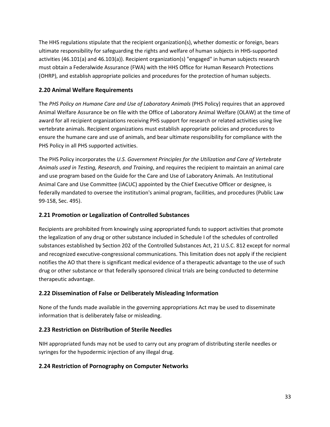The HHS regulations stipulate that the recipient organization(s), whether domestic or foreign, bears ultimate responsibility for safeguarding the rights and welfare of human subjects in HHS-supported activities (46.101(a) and 46.103(a)). Recipient organization(s) "engaged" in human subjects research must obtain a Federalwide Assurance (FWA) with the HHS Office for Human Research Protections (OHRP), and establish appropriate policies and procedures for the protection of human subjects.

## **2.20 Animal Welfare Requirements**

The *PHS Policy on Humane Care and Use of Laboratory Animals* (PHS Policy) requires that an approved Animal Welfare Assurance be on file with the Office of Laboratory Animal Welfare (OLAW) at the time of award for all recipient organizations receiving PHS support for research or related activities using live vertebrate animals. Recipient organizations must establish appropriate policies and procedures to ensure the humane care and use of animals, and bear ultimate responsibility for compliance with the PHS Policy in all PHS supported activities.

The PHS Policy incorporates the *U.S. Government Principles for the Utilization and Care of Vertebrate Animals used in Testing, Research, and Training*, and requires the recipient to maintain an animal care and use program based on the Guide for the Care and Use of Laboratory Animals. An Institutional Animal Care and Use Committee (IACUC) appointed by the Chief Executive Officer or designee, is federally mandated to oversee the institution's animal program, facilities, and procedures (Public Law 99-158, Sec. 495).

### **2.21 Promotion or Legalization of Controlled Substances**

Recipients are prohibited from knowingly using appropriated funds to support activities that promote the legalization of any drug or other substance included in Schedule I of the schedules of controlled substances established by Section 202 of the Controlled Substances Act, 21 U.S.C. 812 except for normal and recognized executive-congressional communications. This limitation does not apply if the recipient notifies the AO that there is significant medical evidence of a therapeutic advantage to the use of such drug or other substance or that federally sponsored clinical trials are being conducted to determine therapeutic advantage.

### **2.22 Dissemination of False or Deliberately Misleading Information**

None of the funds made available in the governing appropriations Act may be used to disseminate information that is deliberately false or misleading.

### **2.23 Restriction on Distribution of Sterile Needles**

NIH appropriated funds may not be used to carry out any program of distributing sterile needles or syringes for the hypodermic injection of any illegal drug.

## **2.24 Restriction of Pornography on Computer Networks**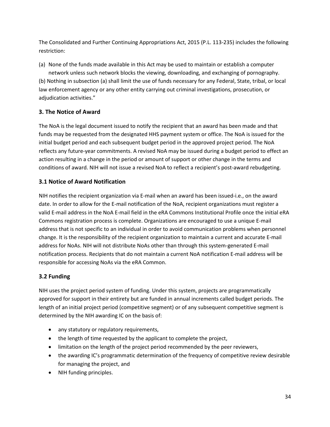The Consolidated and Further Continuing Appropriations Act, 2015 (P.L. 113-235) includes the following restriction:

(a) None of the funds made available in this Act may be used to maintain or establish a computer network unless such network blocks the viewing, downloading, and exchanging of pornography. (b) Nothing in subsection (a) shall limit the use of funds necessary for any Federal, State, tribal, or local law enforcement agency or any other entity carrying out criminal investigations, prosecution, or adjudication activities."

## **3. The Notice of Award**

The NoA is the legal document issued to notify the recipient that an award has been made and that funds may be requested from the designated HHS payment system or office. The NoA is issued for the initial budget period and each subsequent budget period in the approved project period. The NoA reflects any future-year commitments. A revised NoA may be issued during a budget period to effect an action resulting in a change in the period or amount of support or other change in the terms and conditions of award. NIH will not issue a revised NoA to reflect a recipient's post-award rebudgeting.

## **3.1 Notice of Award Notification**

NIH notifies the recipient organization via E-mail when an award has been issued-i.e., on the award date. In order to allow for the E-mail notification of the NoA, recipient organizations must register a valid E-mail address in the NoA E-mail field in the eRA Commons Institutional Profile once the initial eRA Commons registration process is complete. Organizations are encouraged to use a unique E-mail address that is not specific to an individual in order to avoid communication problems when personnel change. It is the responsibility of the recipient organization to maintain a current and accurate E-mail address for NoAs. NIH will not distribute NoAs other than through this system-generated E-mail notification process. Recipients that do not maintain a current NoA notification E-mail address will be responsible for accessing NoAs via the eRA Common.

## **3.2 Funding**

NIH uses the project period system of funding. Under this system, projects are programmatically approved for support in their entirety but are funded in annual increments called budget periods. The length of an initial project period (competitive segment) or of any subsequent competitive segment is determined by the NIH awarding IC on the basis of:

- any statutory or regulatory requirements,
- the length of time requested by the applicant to complete the project,
- limitation on the length of the project period recommended by the peer reviewers,
- the awarding IC's programmatic determination of the frequency of competitive review desirable for managing the project, and
- NIH funding principles.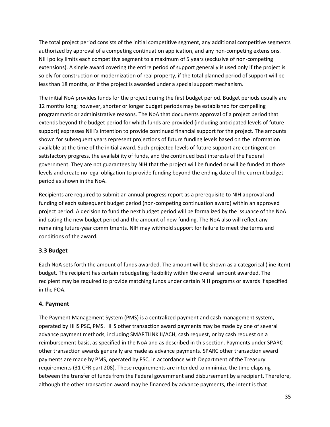The total project period consists of the initial competitive segment, any additional competitive segments authorized by approval of a competing continuation application, and any non-competing extensions. NIH policy limits each competitive segment to a maximum of 5 years (exclusive of non-competing extensions). A single award covering the entire period of support generally is used only if the project is solely for construction or modernization of real property, if the total planned period of support will be less than 18 months, or if the project is awarded under a special support mechanism.

The initial NoA provides funds for the project during the first budget period. Budget periods usually are 12 months long; however, shorter or longer budget periods may be established for compelling programmatic or administrative reasons. The NoA that documents approval of a project period that extends beyond the budget period for which funds are provided (including anticipated levels of future support) expresses NIH's intention to provide continued financial support for the project. The amounts shown for subsequent years represent projections of future funding levels based on the information available at the time of the initial award. Such projected levels of future support are contingent on satisfactory progress, the availability of funds, and the continued best interests of the Federal government. They are not guarantees by NIH that the project will be funded or will be funded at those levels and create no legal obligation to provide funding beyond the ending date of the current budget period as shown in the NoA.

Recipients are required to submit an annual progress report as a prerequisite to NIH approval and funding of each subsequent budget period (non-competing continuation award) within an approved project period. A decision to fund the next budget period will be formalized by the issuance of the NoA indicating the new budget period and the amount of new funding. The NoA also will reflect any remaining future-year commitments. NIH may withhold support for failure to meet the terms and conditions of the award.

## **3.3 Budget**

Each NoA sets forth the amount of funds awarded. The amount will be shown as a categorical (line item) budget. The recipient has certain rebudgeting flexibility within the overall amount awarded. The recipient may be required to provide matching funds under certain NIH programs or awards if specified in the FOA.

### **4. Payment**

The Payment Management System (PMS) is a centralized payment and cash management system, operated by HHS PSC, PMS. HHS other transaction award payments may be made by one of several advance payment methods, including SMARTLINK II/ACH, cash request, or by cash request on a reimbursement basis, as specified in the NoA and as described in this section. Payments under SPARC other transaction awards generally are made as advance payments. SPARC other transaction award payments are made by PMS, operated by PSC, in accordance with Department of the Treasury requirements (31 CFR part 208). These requirements are intended to minimize the time elapsing between the transfer of funds from the Federal government and disbursement by a recipient. Therefore, although the other transaction award may be financed by advance payments, the intent is that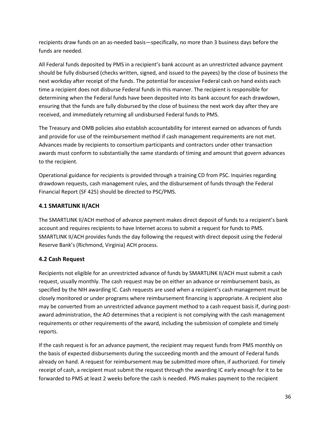recipients draw funds on an as-needed basis—specifically, no more than 3 business days before the funds are needed.

All Federal funds deposited by PMS in a recipient's bank account as an unrestricted advance payment should be fully disbursed (checks written, signed, and issued to the payees) by the close of business the next workday after receipt of the funds. The potential for excessive Federal cash on hand exists each time a recipient does not disburse Federal funds in this manner. The recipient is responsible for determining when the Federal funds have been deposited into its bank account for each drawdown, ensuring that the funds are fully disbursed by the close of business the next work day after they are received, and immediately returning all undisbursed Federal funds to PMS.

The Treasury and OMB policies also establish accountability for interest earned on advances of funds and provide for use of the reimbursement method if cash management requirements are not met. Advances made by recipients to consortium participants and contractors under other transaction awards must conform to substantially the same standards of timing and amount that govern advances to the recipient.

Operational guidance for recipients is provided through a training CD from PSC. Inquiries regarding drawdown requests, cash management rules, and the disbursement of funds through the Federal Financial Report (SF 425) should be directed to PSC/PMS.

## **4.1 SMARTLINK II/ACH**

The SMARTLINK II/ACH method of advance payment makes direct deposit of funds to a recipient's bank account and requires recipients to have Internet access to submit a request for funds to PMS. SMARTLINK II/ACH provides funds the day following the request with direct deposit using the Federal Reserve Bank's (Richmond, Virginia) ACH process.

## **4.2 Cash Request**

Recipients not eligible for an unrestricted advance of funds by SMARTLINK II/ACH must submit a cash request, usually monthly. The cash request may be on either an advance or reimbursement basis, as specified by the NIH awarding IC. Cash requests are used when a recipient's cash management must be closely monitored or under programs where reimbursement financing is appropriate. A recipient also may be converted from an unrestricted advance payment method to a cash request basis if, during postaward administration, the AO determines that a recipient is not complying with the cash management requirements or other requirements of the award, including the submission of complete and timely reports.

If the cash request is for an advance payment, the recipient may request funds from PMS monthly on the basis of expected disbursements during the succeeding month and the amount of Federal funds already on hand. A request for reimbursement may be submitted more often, if authorized. For timely receipt of cash, a recipient must submit the request through the awarding IC early enough for it to be forwarded to PMS at least 2 weeks before the cash is needed. PMS makes payment to the recipient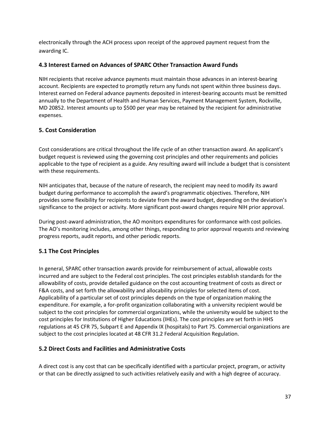electronically through the ACH process upon receipt of the approved payment request from the awarding IC.

#### **4.3 Interest Earned on Advances of SPARC Other Transaction Award Funds**

NIH recipients that receive advance payments must maintain those advances in an interest-bearing account. Recipients are expected to promptly return any funds not spent within three business days. Interest earned on Federal advance payments deposited in interest-bearing accounts must be remitted annually to the Department of Health and Human Services, Payment Management System, Rockville, MD 20852. Interest amounts up to \$500 per year may be retained by the recipient for administrative expenses.

### **5. Cost Consideration**

Cost considerations are critical throughout the life cycle of an other transaction award. An applicant's budget request is reviewed using the governing cost principles and other requirements and policies applicable to the type of recipient as a guide. Any resulting award will include a budget that is consistent with these requirements.

NIH anticipates that, because of the nature of research, the recipient may need to modify its award budget during performance to accomplish the award's programmatic objectives. Therefore, NIH provides some flexibility for recipients to deviate from the award budget, depending on the deviation's significance to the project or activity. More significant post-award changes require NIH prior approval.

During post-award administration, the AO monitors expenditures for conformance with cost policies. The AO's monitoring includes, among other things, responding to prior approval requests and reviewing progress reports, audit reports, and other periodic reports.

### **5.1 The Cost Principles**

In general, SPARC other transaction awards provide for reimbursement of actual, allowable costs incurred and are subject to the Federal cost principles. The cost principles establish standards for the allowability of costs, provide detailed guidance on the cost accounting treatment of costs as direct or F&A costs, and set forth the allowability and allocability principles for selected items of cost. Applicability of a particular set of cost principles depends on the type of organization making the expenditure. For example, a for-profit organization collaborating with a university recipient would be subject to the cost principles for commercial organizations, while the university would be subject to the cost principles for Institutions of Higher Educations (IHEs). The cost principles are set forth in HHS regulations at 45 CFR 75, Subpart E and Appendix IX (hospitals) to Part 75. Commercial organizations are subject to the cost principles located at 48 CFR 31.2 Federal Acquisition Regulation.

### **5.2 Direct Costs and Facilities and Administrative Costs**

A direct cost is any cost that can be specifically identified with a particular project, program, or activity or that can be directly assigned to such activities relatively easily and with a high degree of accuracy.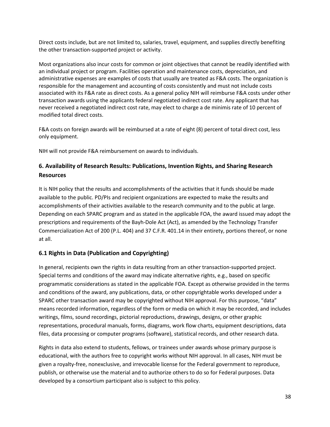Direct costs include, but are not limited to, salaries, travel, equipment, and supplies directly benefiting the other transaction-supported project or activity.

Most organizations also incur costs for common or joint objectives that cannot be readily identified with an individual project or program. Facilities operation and maintenance costs, depreciation, and administrative expenses are examples of costs that usually are treated as F&A costs. The organization is responsible for the management and accounting of costs consistently and must not include costs associated with its F&A rate as direct costs. As a general policy NIH will reimburse F&A costs under other transaction awards using the applicants federal negotiated indirect cost rate. Any applicant that has never received a negotiated indirect cost rate, may elect to charge a de minimis rate of 10 percent of modified total direct costs.

F&A costs on foreign awards will be reimbursed at a rate of eight (8) percent of total direct cost, less only equipment.

NIH will not provide F&A reimbursement on awards to individuals.

## **6. Availability of Research Results: Publications, Invention Rights, and Sharing Research Resources**

It is NIH policy that the results and accomplishments of the activities that it funds should be made available to the public. PD/PIs and recipient organizations are expected to make the results and accomplishments of their activities available to the research community and to the public at large. Depending on each SPARC program and as stated in the applicable FOA, the award issued may adopt the prescriptions and requirements of the Bayh-Dole Act (Act), as amended by the Technology Transfer Commercialization Act of 200 (P.L. 404) and 37 C.F.R. 401.14 in their entirety, portions thereof, or none at all.

### **6.1 Rights in Data (Publication and Copyrighting)**

In general, recipients own the rights in data resulting from an other transaction-supported project. Special terms and conditions of the award may indicate alternative rights, e.g., based on specific programmatic considerations as stated in the applicable FOA. Except as otherwise provided in the terms and conditions of the award, any publications, data, or other copyrightable works developed under a SPARC other transaction award may be copyrighted without NIH approval. For this purpose, "data" means recorded information, regardless of the form or media on which it may be recorded, and includes writings, films, sound recordings, pictorial reproductions, drawings, designs, or other graphic representations, procedural manuals, forms, diagrams, work flow charts, equipment descriptions, data files, data processing or computer programs (software), statistical records, and other research data.

Rights in data also extend to students, fellows, or trainees under awards whose primary purpose is educational, with the authors free to copyright works without NIH approval. In all cases, NIH must be given a royalty-free, nonexclusive, and irrevocable license for the Federal government to reproduce, publish, or otherwise use the material and to authorize others to do so for Federal purposes. Data developed by a consortium participant also is subject to this policy.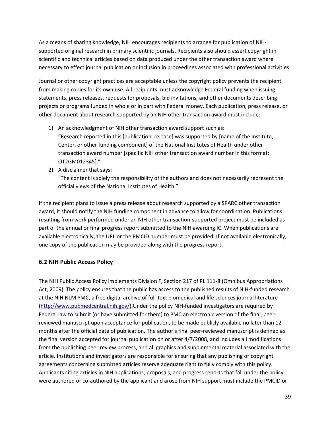As a means of sharing knowledge, NIH encourages recipients to arrange for publication of NIHsupported original research in primary scientific journals. Recipients also should assert copyright in scientific and technical articles based on data produced under the other transaction award where necessary to effect journal publication or inclusion in proceedings associated with professional activities.

Journal or other copyright practices are acceptable unless the copyright policy prevents the recipient from making copies for its own use. All recipients must acknowledge Federal funding when issuing statements, press releases, requests for proposals, bid invitations, and other documents describing projects or programs funded in whole or in part with Federal money. Each publication, press release, or other document about research supported by an NIH other transaction award must include:

- 1) An acknowledgment of NIH other transaction award support such as: "Research reported in this [publication, release] was supported by [name of the Institute, Center, or other funding component] of the National Institutes of Health under other transaction award number [specific NIH other transaction award number in this format: OT2GM012345]."
- 2) A disclaimer that says:

"The content is solely the responsibility of the authors and does not necessarily represent the official views of the National Institutes of Health."

If the recipient plans to issue a press release about research supported by a SPARC other transaction award, it should notify the NIH funding component in advance to allow for coordination. Publications resulting from work performed under an NIH other transaction-supported project must be included as part of the annual or final progress report submitted to the NIH awarding IC. When publications are available electronically, the URL or the PMCID number must be provided. If not available electronically, one copy of the publication may be provided along with the progress report.

#### **6.2 NIH Public Access Policy**

The NIH Public Access Policy implements Division F, Section 217 of PL 111-8 (Omnibus Appropriations Act, 2009). The policy ensures that the public has access to the published results of NIH-funded research at the NIH NLM PMC, a free digital archive of full-text biomedical and life sciences journal literature [\(http://www.pubmedcentral.nih.gov/\)](http://www.pubmedcentral.nih.gov/).Under the policy NIH-funded investigators are required by Federal law to submit (or have submitted for them) to PMC an electronic version of the final, peerreviewed manuscript upon acceptance for publication, to be made publicly available no later than 12 months after the official date of publication. The author's final peer-reviewed manuscript is defined as the final version accepted for journal publication on or after 4/7/2008, and includes all modifications from the publishing peer review process, and all graphics and supplemental material associated with the article. Institutions and investigators are responsible for ensuring that any publishing or copyright agreements concerning submitted articles reserve adequate right to fully comply with this policy. Applicants citing articles in NIH applications, proposals, and progress reports that fall under the policy, were authored or co-authored by the applicant and arose from NIH support must include the PMCID or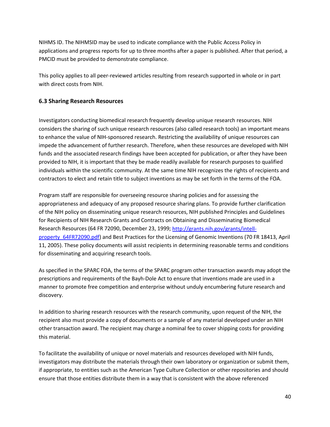NIHMS ID. The NIHMSID may be used to indicate compliance with the Public Access Policy in applications and progress reports for up to three months after a paper is published. After that period, a PMCID must be provided to demonstrate compliance.

This policy applies to all peer-reviewed articles resulting from research supported in whole or in part with direct costs from NIH.

#### **6.3 Sharing Research Resources**

Investigators conducting biomedical research frequently develop unique research resources. NIH considers the sharing of such unique research resources (also called research tools) an important means to enhance the value of NIH-sponsored research. Restricting the availability of unique resources can impede the advancement of further research. Therefore, when these resources are developed with NIH funds and the associated research findings have been accepted for publication, or after they have been provided to NIH, it is important that they be made readily available for research purposes to qualified individuals within the scientific community. At the same time NIH recognizes the rights of recipients and contractors to elect and retain title to subject inventions as may be set forth in the terms of the FOA.

Program staff are responsible for overseeing resource sharing policies and for assessing the appropriateness and adequacy of any proposed resource sharing plans. To provide further clarification of the NIH policy on disseminating unique research resources, NIH published Principles and Guidelines for Recipients of NIH Research Grants and Contracts on Obtaining and Disseminating Biomedical Research Resources (64 FR 72090, December 23, 1999; [http://grants.nih.gov/grants/intell](http://grants.nih.gov/grants/intell-property_64FR72090.pdf)[property\\_64FR72090.pdf\)](http://grants.nih.gov/grants/intell-property_64FR72090.pdf) and Best Practices for the Licensing of Genomic Inventions (70 FR 18413, April 11, 2005). These policy documents will assist recipients in determining reasonable terms and conditions for disseminating and acquiring research tools.

As specified in the SPARC FOA, the terms of the SPARC program other transaction awards may adopt the prescriptions and requirements of the Bayh-Dole Act to ensure that inventions made are used in a manner to promote free competition and enterprise without unduly encumbering future research and discovery.

In addition to sharing research resources with the research community, upon request of the NIH, the recipient also must provide a copy of documents or a sample of any material developed under an NIH other transaction award. The recipient may charge a nominal fee to cover shipping costs for providing this material.

To facilitate the availability of unique or novel materials and resources developed with NIH funds, investigators may distribute the materials through their own laboratory or organization or submit them, if appropriate, to entities such as the American Type Culture Collection or other repositories and should ensure that those entities distribute them in a way that is consistent with the above referenced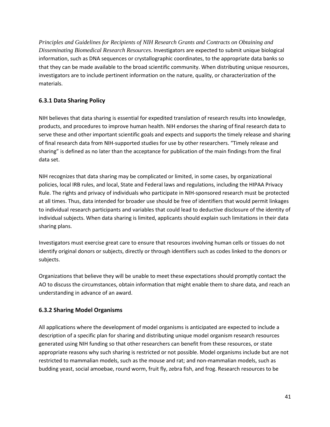*Principles and Guidelines for Recipients of NIH Research Grants and Contracts on Obtaining and Disseminating Biomedical Research Resources*. Investigators are expected to submit unique biological information, such as DNA sequences or crystallographic coordinates, to the appropriate data banks so that they can be made available to the broad scientific community. When distributing unique resources, investigators are to include pertinent information on the nature, quality, or characterization of the materials.

## **6.3.1 Data Sharing Policy**

NIH believes that data sharing is essential for expedited translation of research results into knowledge, products, and procedures to improve human health. NIH endorses the sharing of final research data to serve these and other important scientific goals and expects and supports the timely release and sharing of final research data from NIH-supported studies for use by other researchers. "Timely release and sharing" is defined as no later than the acceptance for publication of the main findings from the final data set.

NIH recognizes that data sharing may be complicated or limited, in some cases, by organizational policies, local IRB rules, and local, State and Federal laws and regulations, including the HIPAA Privacy Rule. The rights and privacy of individuals who participate in NIH-sponsored research must be protected at all times. Thus, data intended for broader use should be free of identifiers that would permit linkages to individual research participants and variables that could lead to deductive disclosure of the identity of individual subjects. When data sharing is limited, applicants should explain such limitations in their data sharing plans.

Investigators must exercise great care to ensure that resources involving human cells or tissues do not identify original donors or subjects, directly or through identifiers such as codes linked to the donors or subjects.

Organizations that believe they will be unable to meet these expectations should promptly contact the AO to discuss the circumstances, obtain information that might enable them to share data, and reach an understanding in advance of an award.

### **6.3.2 Sharing Model Organisms**

All applications where the development of model organisms is anticipated are expected to include a description of a specific plan for sharing and distributing unique model organism research resources generated using NIH funding so that other researchers can benefit from these resources, or state appropriate reasons why such sharing is restricted or not possible. Model organisms include but are not restricted to mammalian models, such as the mouse and rat; and non-mammalian models, such as budding yeast, social amoebae, round worm, fruit fly, zebra fish, and frog. Research resources to be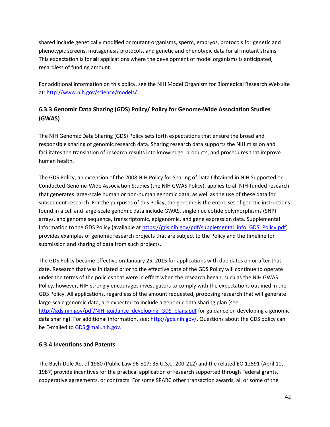shared include genetically modified or mutant organisms, sperm, embryos, protocols for genetic and phenotypic screens, mutagenesis protocols, and genetic and phenotypic data for all mutant strains. This expectation is for **all** applications where the development of model organisms is anticipated, regardless of funding amount.

For additional information on this policy, see the NIH Model Organism for Biomedical Research Web site at: [http://www.nih.gov/science/models/.](http://www.nih.gov/science/models/)

# **6.3.3 Genomic Data Sharing (GDS) Policy/ Policy for Genome-Wide Association Studies (GWAS)**

The NIH Genomic Data Sharing (GDS) Policy sets forth expectations that ensure the broad and responsible sharing of genomic research data. Sharing research data supports the NIH mission and facilitates the translation of research results into knowledge, products, and procedures that improve human health.

The GDS Policy, an extension of the 2008 NIH Policy for Sharing of Data Obtained in NIH Supported or Conducted Genome-Wide Association Studies (the NIH GWAS Policy), applies to all NIH-funded research that generates large-scale human or non-human genomic data, as well as the use of these data for subsequent research. For the purposes of this Policy, the genome is the entire set of genetic instructions found in a cell and large-scale genomic data include GWAS, single nucleotide polymorphisms (SNP) arrays, and genome sequence, transcriptomic, epigenomic, and gene expression data. Supplemental Information to the GDS Policy (available at [https://gds.nih.gov/pdf/supplemental\\_info\\_GDS\\_Policy.pdf\)](https://gds.nih.gov/pdf/supplemental_info_GDS_Policy.pdf) provides examples of genomic research projects that are subject to the Policy and the timeline for submission and sharing of data from such projects.

The GDS Policy became effective on January 25, 2015 for applications with due dates on or after that date. Research that was initiated prior to the effective date of the GDS Policy will continue to operate under the terms of the policies that were in effect when the research began, such as the NIH GWAS Policy, however, NIH strongly encourages investigators to comply with the expectations outlined in the GDS Policy. All applications, regardless of the amount requested, proposing research that will generate large-scale genomic data, are expected to include a genomic data sharing plan (see [http://gds.nih.gov/pdf/NIH\\_guidance\\_developing\\_GDS\\_plans.pdf](http://gds.nih.gov/pdf/NIH_guidance_developing_GDS_plans.pdf) for guidance on developing a genomic data sharing). For additional information, see[: http://gds.nih.gov/.](http://gds.nih.gov/) Questions about the GDS policy can be E-mailed to [GDS@mail.nih.gov.](mailto:GDS@mail.nih.gov)

### **6.3.4 Inventions and Patents**

The Bayh-Dole Act of 1980 (Public Law 96-517; 35 U.S.C. 200-212) and the related EO 12591 (April 10, 1987) provide incentives for the practical application of research supported through Federal grants, cooperative agreements, or contracts. For some SPARC other transaction awards, all or some of the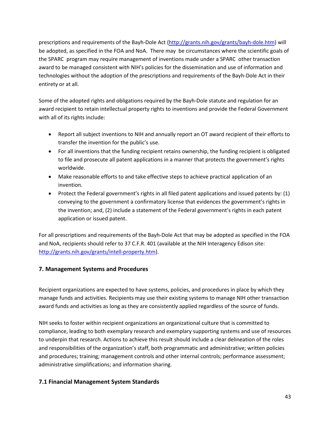prescriptions and requirements of the Bayh-Dole Act [\(http://grants.nih.gov/grants/bayh-dole.htm\)](http://grants.nih.gov/grants/bayh-dole.htm) will be adopted, as specified in the FOA and NoA. There may be circumstances where the scientific goals of the SPARC program may require management of inventions made under a SPARC other transaction award to be managed consistent with NIH's policies for the dissemination and use of information and technologies without the adoption of the prescriptions and requirements of the Bayh-Dole Act in their entirety or at all.

Some of the adopted rights and obligations required by the Bayh-Dole statute and regulation for an award recipient to retain intellectual property rights to inventions and provide the Federal Government with all of its rights include:

- Report all subject inventions to NIH and annually report an OT award recipient of their efforts to transfer the invention for the public's use.
- For all inventions that the funding recipient retains ownership, the funding recipient is obligated to file and prosecute all patent applications in a manner that protects the government's rights worldwide.
- Make reasonable efforts to and take effective steps to achieve practical application of an invention.
- Protect the Federal government's rights in all filed patent applications and issued patents by: (1) conveying to the government a confirmatory license that evidences the government's rights in the invention; and, (2) include a statement of the Federal government's rights in each patent application or issued patent.

For all prescriptions and requirements of the Bayh-Dole Act that may be adopted as specified in the FOA and NoA, recipients should refer to 37 C.F.R. 401 (available at the NIH Interagency Edison site: [http://grants.nih.gov/grants/intell-property.htm\)](http://grants.nih.gov/grants/intell-property.htm).

### **7. Management Systems and Procedures**

Recipient organizations are expected to have systems, policies, and procedures in place by which they manage funds and activities. Recipients may use their existing systems to manage NIH other transaction award funds and activities as long as they are consistently applied regardless of the source of funds.

NIH seeks to foster within recipient organizations an organizational culture that is committed to compliance, leading to both exemplary research and exemplary supporting systems and use of resources to underpin that research. Actions to achieve this result should include a clear delineation of the roles and responsibilities of the organization's staff, both programmatic and administrative; written policies and procedures; training; management controls and other internal controls; performance assessment; administrative simplifications; and information sharing.

### **7.1 Financial Management System Standards**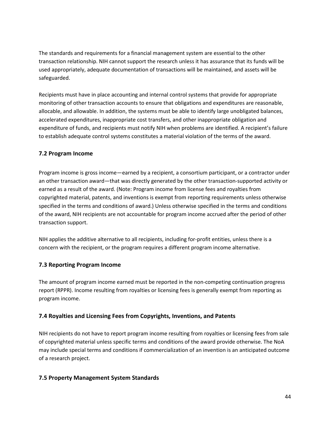The standards and requirements for a financial management system are essential to the other transaction relationship. NIH cannot support the research unless it has assurance that its funds will be used appropriately, adequate documentation of transactions will be maintained, and assets will be safeguarded.

Recipients must have in place accounting and internal control systems that provide for appropriate monitoring of other transaction accounts to ensure that obligations and expenditures are reasonable, allocable, and allowable. In addition, the systems must be able to identify large unobligated balances, accelerated expenditures, inappropriate cost transfers, and other inappropriate obligation and expenditure of funds, and recipients must notify NIH when problems are identified. A recipient's failure to establish adequate control systems constitutes a material violation of the terms of the award.

#### **7.2 Program Income**

Program income is gross income—earned by a recipient, a consortium participant, or a contractor under an other transaction award—that was directly generated by the other transaction-supported activity or earned as a result of the award. (Note: Program income from license fees and royalties from copyrighted material, patents, and inventions is exempt from reporting requirements unless otherwise specified in the terms and conditions of award.) Unless otherwise specified in the terms and conditions of the award, NIH recipients are not accountable for program income accrued after the period of other transaction support.

NIH applies the additive alternative to all recipients, including for-profit entities, unless there is a concern with the recipient, or the program requires a different program income alternative.

### **7.3 Reporting Program Income**

The amount of program income earned must be reported in the non-competing continuation progress report (RPPR). Income resulting from royalties or licensing fees is generally exempt from reporting as program income.

### **7.4 Royalties and Licensing Fees from Copyrights, Inventions, and Patents**

NIH recipients do not have to report program income resulting from royalties or licensing fees from sale of copyrighted material unless specific terms and conditions of the award provide otherwise. The NoA may include special terms and conditions if commercialization of an invention is an anticipated outcome of a research project.

### **7.5 Property Management System Standards**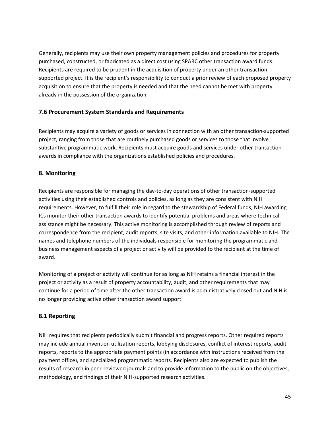Generally, recipients may use their own property management policies and procedures for property purchased, constructed, or fabricated as a direct cost using SPARC other transaction award funds. Recipients are required to be prudent in the acquisition of property under an other transactionsupported project. It is the recipient's responsibility to conduct a prior review of each proposed property acquisition to ensure that the property is needed and that the need cannot be met with property already in the possession of the organization.

#### **7.6 Procurement System Standards and Requirements**

Recipients may acquire a variety of goods or services in connection with an other transaction-supported project, ranging from those that are routinely purchased goods or services to those that involve substantive programmatic work. Recipients must acquire goods and services under other transaction awards in compliance with the organizations established policies and procedures.

#### **8. Monitoring**

Recipients are responsible for managing the day-to-day operations of other transaction-supported activities using their established controls and policies, as long as they are consistent with NIH requirements. However, to fulfill their role in regard to the stewardship of Federal funds, NIH awarding ICs monitor their other transaction awards to identify potential problems and areas where technical assistance might be necessary. This active monitoring is accomplished through review of reports and correspondence from the recipient, audit reports, site visits, and other information available to NIH. The names and telephone numbers of the individuals responsible for monitoring the programmatic and business management aspects of a project or activity will be provided to the recipient at the time of award.

Monitoring of a project or activity will continue for as long as NIH retains a financial interest in the project or activity as a result of property accountability, audit, and other requirements that may continue for a period of time after the other transaction award is administratively closed out and NIH is no longer providing active other transaction award support.

### **8.1 Reporting**

NIH requires that recipients periodically submit financial and progress reports. Other required reports may include annual invention utilization reports, lobbying disclosures, conflict of interest reports, audit reports, reports to the appropriate payment points (in accordance with instructions received from the payment office), and specialized programmatic reports. Recipients also are expected to publish the results of research in peer-reviewed journals and to provide information to the public on the objectives, methodology, and findings of their NIH-supported research activities.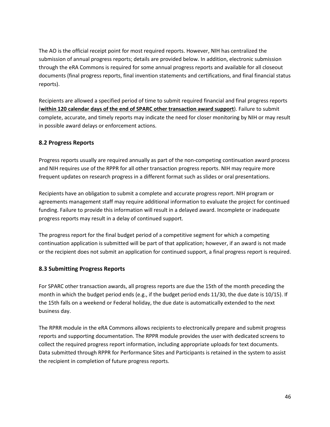The AO is the official receipt point for most required reports. However, NIH has centralized the submission of annual progress reports; details are provided below. In addition, electronic submission through the eRA Commons is required for some annual progress reports and available for all closeout documents (final progress reports, final invention statements and certifications, and final financial status reports).

Recipients are allowed a specified period of time to submit required financial and final progress reports (**within 120 calendar days of the end of SPARC other transaction award support**). Failure to submit complete, accurate, and timely reports may indicate the need for closer monitoring by NIH or may result in possible award delays or enforcement actions.

#### **8.2 Progress Reports**

Progress reports usually are required annually as part of the non-competing continuation award process and NIH requires use of the RPPR for all other transaction progress reports. NIH may require more frequent updates on research progress in a different format such as slides or oral presentations.

Recipients have an obligation to submit a complete and accurate progress report. NIH program or agreements management staff may require additional information to evaluate the project for continued funding. Failure to provide this information will result in a delayed award. Incomplete or inadequate progress reports may result in a delay of continued support.

The progress report for the final budget period of a competitive segment for which a competing continuation application is submitted will be part of that application; however, if an award is not made or the recipient does not submit an application for continued support, a final progress report is required.

#### **8.3 Submitting Progress Reports**

For SPARC other transaction awards, all progress reports are due the 15th of the month preceding the month in which the budget period ends (e.g., if the budget period ends 11/30, the due date is 10/15). If the 15th falls on a weekend or Federal holiday, the due date is automatically extended to the next business day.

The RPRR module in the eRA Commons allows recipients to electronically prepare and submit progress reports and supporting documentation. The RPPR module provides the user with dedicated screens to collect the required progress report information, including appropriate uploads for text documents. Data submitted through RPPR for Performance Sites and Participants is retained in the system to assist the recipient in completion of future progress reports.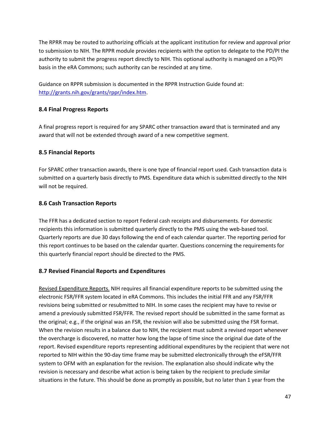The RPRR may be routed to authorizing officials at the applicant institution for review and approval prior to submission to NIH. The RPPR module provides recipients with the option to delegate to the PD/PI the authority to submit the progress report directly to NIH. This optional authority is managed on a PD/PI basis in the eRA Commons; such authority can be rescinded at any time.

Guidance on RPPR submission is documented in the RPPR Instruction Guide found at: [http://grants.nih.gov/grants/rppr/index.htm.](http://grants.nih.gov/grants/rppr/index.htm)

### **8.4 Final Progress Reports**

A final progress report is required for any SPARC other transaction award that is terminated and any award that will not be extended through award of a new competitive segment.

#### **8.5 Financial Reports**

For SPARC other transaction awards, there is one type of financial report used. Cash transaction data is submitted on a quarterly basis directly to PMS. Expenditure data which is submitted directly to the NIH will not be required.

#### **8.6 Cash Transaction Reports**

The FFR has a dedicated section to report Federal cash receipts and disbursements. For domestic recipients this information is submitted quarterly directly to the PMS using the web-based tool. Quarterly reports are due 30 days following the end of each calendar quarter. The reporting period for this report continues to be based on the calendar quarter. Questions concerning the requirements for this quarterly financial report should be directed to the PMS.

#### **8.7 Revised Financial Reports and Expenditures**

Revised Expenditure Reports. NIH requires all financial expenditure reports to be submitted using the electronic FSR/FFR system located in eRA Commons. This includes the initial FFR and any FSR/FFR revisions being submitted or resubmitted to NIH. In some cases the recipient may have to revise or amend a previously submitted FSR/FFR. The revised report should be submitted in the same format as the original; e.g., if the original was an FSR, the revision will also be submitted using the FSR format. When the revision results in a balance due to NIH, the recipient must submit a revised report whenever the overcharge is discovered, no matter how long the lapse of time since the original due date of the report. Revised expenditure reports representing additional expenditures by the recipient that were not reported to NIH within the 90-day time frame may be submitted electronically through the eFSR/FFR system to OFM with an explanation for the revision. The explanation also should indicate why the revision is necessary and describe what action is being taken by the recipient to preclude similar situations in the future. This should be done as promptly as possible, but no later than 1 year from the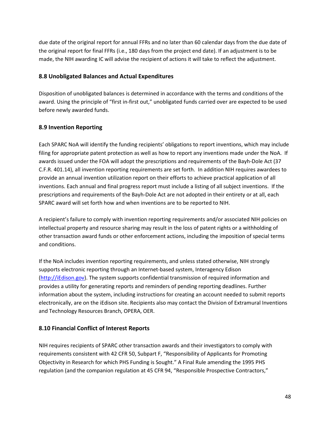due date of the original report for annual FFRs and no later than 60 calendar days from the due date of the original report for final FFRs (i.e., 180 days from the project end date). If an adjustment is to be made, the NIH awarding IC will advise the recipient of actions it will take to reflect the adjustment.

#### **8.8 Unobligated Balances and Actual Expenditures**

Disposition of unobligated balances is determined in accordance with the terms and conditions of the award. Using the principle of "first in-first out," unobligated funds carried over are expected to be used before newly awarded funds.

### **8.9 Invention Reporting**

Each SPARC NoA will identify the funding recipients' obligations to report inventions, which may include filing for appropriate patent protection as well as how to report any inventions made under the NoA. If awards issued under the FOA will adopt the prescriptions and requirements of the Bayh-Dole Act (37 C.F.R. 401.14), all invention reporting requirements are set forth. In addition NIH requires awardees to provide an annual invention utilization report on their efforts to achieve practical application of all inventions. Each annual and final progress report must include a listing of all subject inventions. If the prescriptions and requirements of the Bayh-Dole Act are not adopted in their entirety or at all, each SPARC award will set forth how and when inventions are to be reported to NIH.

A recipient's failure to comply with invention reporting requirements and/or associated NIH policies on intellectual property and resource sharing may result in the loss of patent rights or a withholding of other transaction award funds or other enforcement actions, including the imposition of special terms and conditions.

If the NoA includes invention reporting requirements, and unless stated otherwise, NIH strongly supports electronic reporting through an Internet-based system, Interagency Edison [\(http://iEdison.gov\)](http://iedison.gov/). The system supports confidential transmission of required information and provides a utility for generating reports and reminders of pending reporting deadlines. Further information about the system, including instructions for creating an account needed to submit reports electronically, are on the iEdison site. Recipients also may contact the Division of Extramural Inventions and Technology Resources Branch, OPERA, OER.

### **8.10 Financial Conflict of Interest Reports**

NIH requires recipients of SPARC other transaction awards and their investigators to comply with requirements consistent with 42 CFR 50, Subpart F, "Responsibility of Applicants for Promoting Objectivity in Research for which PHS Funding is Sought." A Final Rule amending the 1995 PHS regulation (and the companion regulation at 45 CFR 94, "Responsible Prospective Contractors,"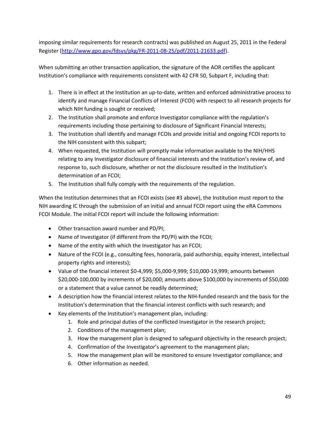imposing similar requirements for research contracts) was published on August 25, 2011 in the Federal Register [\(http://www.gpo.gov/fdsys/pkg/FR-2011-08-25/pdf/2011-21633.pdf\)](http://www.gpo.gov/fdsys/pkg/FR-2011-08-25/pdf/2011-21633.pdf).

When submitting an other transaction application, the signature of the AOR certifies the applicant Institution's compliance with requirements consistent with 42 CFR 50, Subpart F, including that:

- 1. There is in effect at the Institution an up-to-date, written and enforced administrative process to identify and manage Financial Conflicts of Interest (FCOI) with respect to all research projects for which NIH funding is sought or received;
- 2. The Institution shall promote and enforce Investigator compliance with the regulation's requirements including those pertaining to disclosure of Significant Financial Interests;
- 3. The Institution shall identify and manage FCOIs and provide initial and ongoing FCOI reports to the NIH consistent with this subpart;
- 4. When requested, the Institution will promptly make information available to the NIH/HHS relating to any Investigator disclosure of financial interests and the Institution's review of, and response to, such disclosure, whether or not the disclosure resulted in the Institution's determination of an FCOI;
- 5. The Institution shall fully comply with the requirements of the regulation.

When the Institution determines that an FCOI exists (see #3 above), the Institution must report to the NIH awarding IC through the submission of an initial and annual FCOI report using the eRA Commons FCOI Module. The initial FCOI report will include the following information:

- Other transaction award number and PD/PI;
- Name of Investigator (if different from the PD/PI) with the FCOI;
- Name of the entity with which the Investigator has an FCOI;
- Nature of the FCOI (e.g., consulting fees, honoraria, paid authorship, equity interest, intellectual property rights and interests);
- Value of the financial interest  $$0-4,999; $5,000-9,999; $10,000-19,999;$  amounts between \$20,000-100,000 by increments of \$20,000; amounts above \$100,000 by increments of \$50,000 or a statement that a value cannot be readily determined;
- A description how the financial interest relates to the NIH-funded research and the basis for the Institution's determination that the financial interest conflicts with such research; and
- Key elements of the Institution's management plan, including:
	- 1. Role and principal duties of the conflicted Investigator in the research project;
	- 2. Conditions of the management plan;
	- 3. How the management plan is designed to safeguard objectivity in the research project;
	- 4. Confirmation of the Investigator's agreement to the management plan;
	- 5. How the management plan will be monitored to ensure Investigator compliance; and
	- 6. Other information as needed.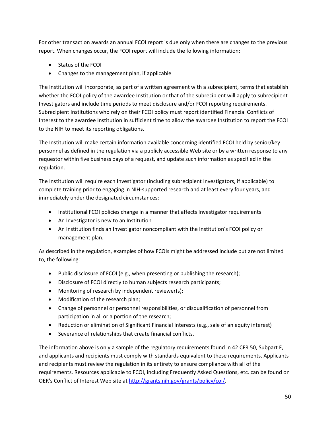For other transaction awards an annual FCOI report is due only when there are changes to the previous report. When changes occur, the FCOI report will include the following information:

- Status of the FCOI
- Changes to the management plan, if applicable

The Institution will incorporate, as part of a written agreement with a subrecipient, terms that establish whether the FCOI policy of the awardee Institution or that of the subrecipient will apply to subrecipient Investigators and include time periods to meet disclosure and/or FCOI reporting requirements. Subrecipient Institutions who rely on their FCOI policy must report identified Financial Conflicts of Interest to the awardee Institution in sufficient time to allow the awardee Institution to report the FCOI to the NIH to meet its reporting obligations.

The Institution will make certain information available concerning identified FCOI held by senior/key personnel as defined in the regulation via a publicly accessible Web site or by a written response to any requestor within five business days of a request, and update such information as specified in the regulation.

The Institution will require each Investigator (including subrecipient Investigators, if applicable) to complete training prior to engaging in NIH-supported research and at least every four years, and immediately under the designated circumstances:

- Institutional FCOI policies change in a manner that affects Investigator requirements
- An Investigator is new to an Institution
- An Institution finds an Investigator noncompliant with the Institution's FCOI policy or management plan.

As described in the regulation, examples of how FCOIs might be addressed include but are not limited to, the following:

- Public disclosure of FCOI (e.g., when presenting or publishing the research);
- Disclosure of FCOI directly to human subjects research participants;
- Monitoring of research by independent reviewer(s);
- Modification of the research plan;
- Change of personnel or personnel responsibilities, or disqualification of personnel from participation in all or a portion of the research;
- Reduction or elimination of Significant Financial Interests (e.g., sale of an equity interest)
- Severance of relationships that create financial conflicts.

The information above is only a sample of the regulatory requirements found in 42 CFR 50, Subpart F, and applicants and recipients must comply with standards equivalent to these requirements. Applicants and recipients must review the regulation in its entirety to ensure compliance with all of the requirements. Resources applicable to FCOI, including Frequently Asked Questions, etc. can be found on OER's Conflict of Interest Web site at [http://grants.nih.gov/grants/policy/coi/.](http://grants.nih.gov/grants/policy/coi/)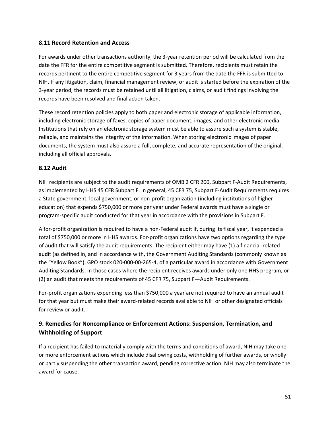#### **8.11 Record Retention and Access**

For awards under other transactions authority, the 3-year retention period will be calculated from the date the FFR for the entire competitive segment is submitted. Therefore, recipients must retain the records pertinent to the entire competitive segment for 3 years from the date the FFR is submitted to NIH. If any litigation, claim, financial management review, or audit is started before the expiration of the 3-year period, the records must be retained until all litigation, claims, or audit findings involving the records have been resolved and final action taken.

These record retention policies apply to both paper and electronic storage of applicable information, including electronic storage of faxes, copies of paper document, images, and other electronic media. Institutions that rely on an electronic storage system must be able to assure such a system is stable, reliable, and maintains the integrity of the information. When storing electronic images of paper documents, the system must also assure a full, complete, and accurate representation of the original, including all official approvals.

#### **8.12 Audit**

NIH recipients are subject to the audit requirements of OMB 2 CFR 200, Subpart F-Audit Requirements, as implemented by HHS 45 CFR Subpart F. In general, 45 CFR 75, Subpart F-Audit Requirements requires a State government, local government, or non-profit organization (including institutions of higher education) that expends \$750,000 or more per year under Federal awards must have a single or program-specific audit conducted for that year in accordance with the provisions in Subpart F.

A for-profit organization is required to have a non-Federal audit if, during its fiscal year, it expended a total of \$750,000 or more in HHS awards. For-profit organizations have two options regarding the type of audit that will satisfy the audit requirements. The recipient either may have (1) a financial-related audit (as defined in, and in accordance with, the Government Auditing Standards (commonly known as the "Yellow Book"), GPO stock 020-000-00-265-4, of a particular award in accordance with Government Auditing Standards, in those cases where the recipient receives awards under only one HHS program, or (2) an audit that meets the requirements of 45 CFR 75, Subpart F—Audit Requirements.

For-profit organizations expending less than \$750,000 a year are not required to have an annual audit for that year but must make their award-related records available to NIH or other designated officials for review or audit.

# **9. Remedies for Noncompliance or Enforcement Actions: Suspension, Termination, and Withholding of Support**

If a recipient has failed to materially comply with the terms and conditions of award, NIH may take one or more enforcement actions which include disallowing costs, withholding of further awards, or wholly or partly suspending the other transaction award, pending corrective action. NIH may also terminate the award for cause.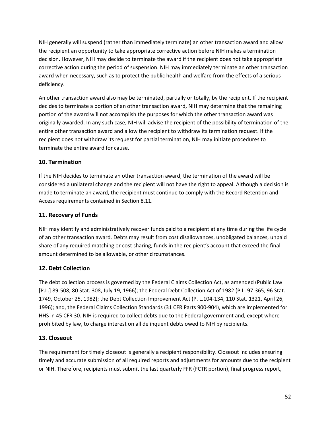NIH generally will suspend (rather than immediately terminate) an other transaction award and allow the recipient an opportunity to take appropriate corrective action before NIH makes a termination decision. However, NIH may decide to terminate the award if the recipient does not take appropriate corrective action during the period of suspension. NIH may immediately terminate an other transaction award when necessary, such as to protect the public health and welfare from the effects of a serious deficiency.

An other transaction award also may be terminated, partially or totally, by the recipient. If the recipient decides to terminate a portion of an other transaction award, NIH may determine that the remaining portion of the award will not accomplish the purposes for which the other transaction award was originally awarded. In any such case, NIH will advise the recipient of the possibility of termination of the entire other transaction award and allow the recipient to withdraw its termination request. If the recipient does not withdraw its request for partial termination, NIH may initiate procedures to terminate the entire award for cause.

#### **10. Termination**

If the NIH decides to terminate an other transaction award, the termination of the award will be considered a unilateral change and the recipient will not have the right to appeal. Although a decision is made to terminate an award, the recipient must continue to comply with the Record Retention and Access requirements contained in Section 8.11.

#### **11. Recovery of Funds**

NIH may identify and administratively recover funds paid to a recipient at any time during the life cycle of an other transaction award. Debts may result from cost disallowances, unobligated balances, unpaid share of any required matching or cost sharing, funds in the recipient's account that exceed the final amount determined to be allowable, or other circumstances.

### **12. Debt Collection**

The debt collection process is governed by the Federal Claims Collection Act, as amended (Public Law [P.L.] 89-508, 80 Stat. 308, July 19, 1966); the Federal Debt Collection Act of 1982 (P.L. 97-365, 96 Stat. 1749, October 25, 1982); the Debt Collection Improvement Act (P. L.104-134, 110 Stat. 1321, April 26, 1996); and, the Federal Claims Collection Standards (31 CFR Parts 900-904), which are implemented for HHS in 45 CFR 30. NIH is required to collect debts due to the Federal government and, except where prohibited by law, to charge interest on all delinquent debts owed to NIH by recipients.

### **13. Closeout**

The requirement for timely closeout is generally a recipient responsibility. Closeout includes ensuring timely and accurate submission of all required reports and adjustments for amounts due to the recipient or NIH. Therefore, recipients must submit the last quarterly FFR (FCTR portion), final progress report,